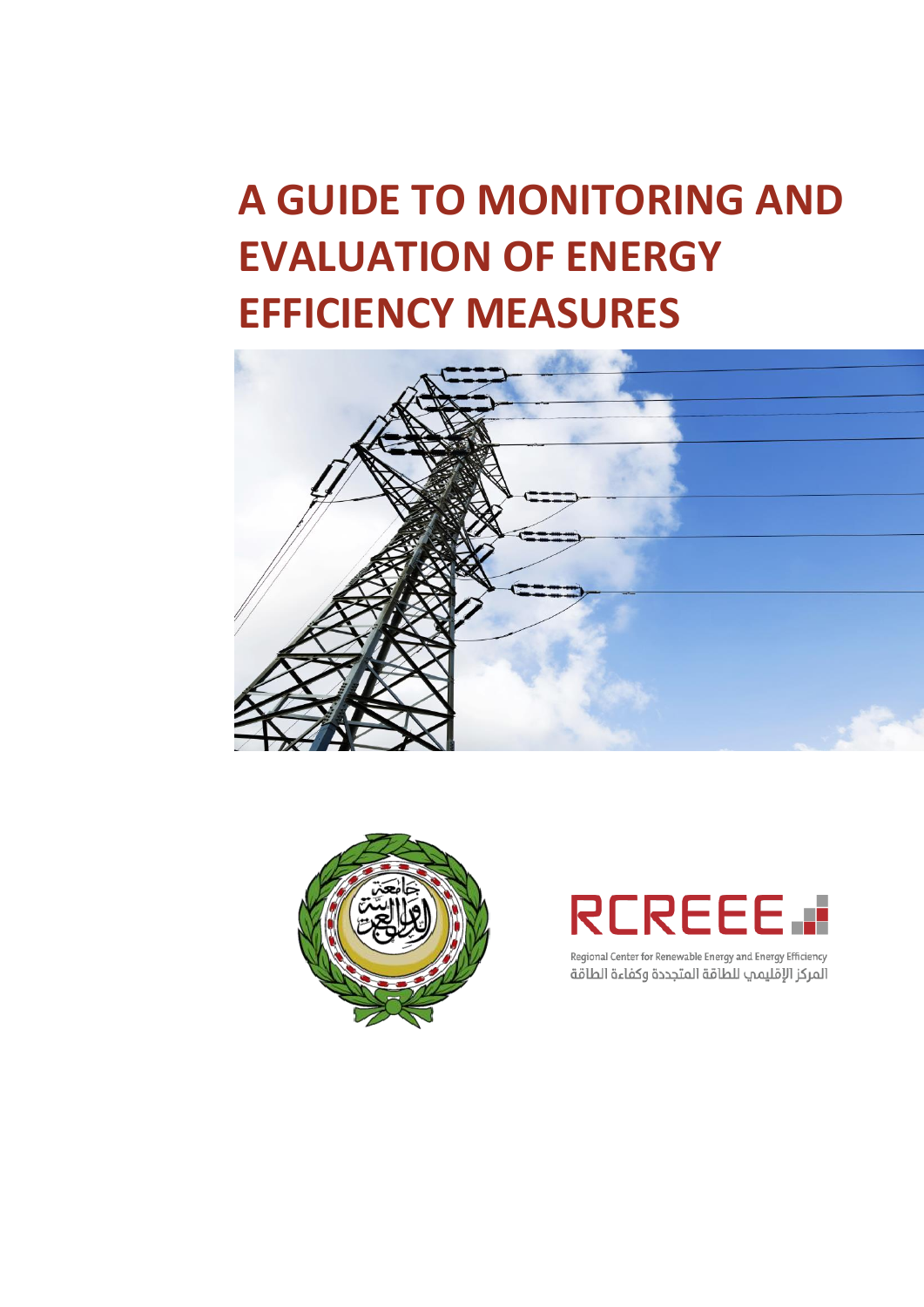# **A GUIDE TO MONITORING AND EVALUATION OF ENERGY EFFICIENCY MEASURES**





# **RCREEE.**

Regional Center for Renewable Energy and Energy Efficiency المركز الإقليمي للطاقة المتجددة وكفاءة الطاقة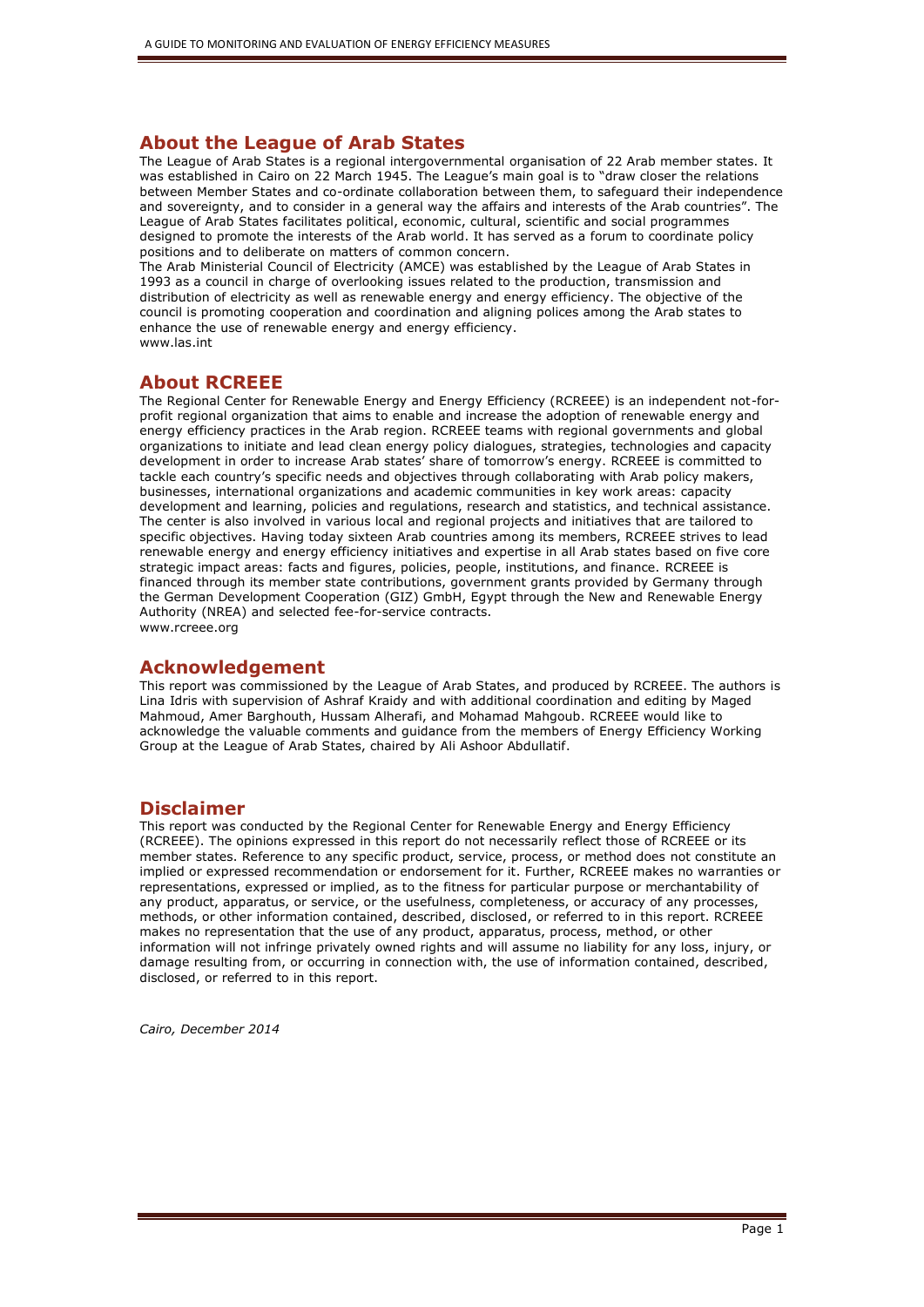#### **About the League of Arab States**

The League of Arab States is a regional intergovernmental organisation of 22 Arab member states. It was established in Cairo on 22 March 1945. The League's main goal is to "draw closer the relations between Member States and co-ordinate collaboration between them, to safeguard their independence and sovereignty, and to consider in a general way the affairs and interests of the Arab countries". The League of Arab States facilitates political, economic, cultural, scientific and social programmes designed to promote the interests of the Arab world. It has served as a forum to coordinate policy positions and to deliberate on matters of common concern.

The Arab Ministerial Council of Electricity (AMCE) was established by the League of Arab States in 1993 as a council in charge of overlooking issues related to the production, transmission and distribution of electricity as well as renewable energy and energy efficiency. The objective of the council is promoting cooperation and coordination and aligning polices among the Arab states to enhance the use of renewable energy and energy efficiency. www.las.int

#### **About RCREEE**

The Regional Center for Renewable Energy and Energy Efficiency (RCREEE) is an independent not-forprofit regional organization that aims to enable and increase the adoption of renewable energy and energy efficiency practices in the Arab region. RCREEE teams with regional governments and global organizations to initiate and lead clean energy policy dialogues, strategies, technologies and capacity development in order to increase Arab states' share of tomorrow's energy. RCREEE is committed to tackle each country's specific needs and objectives through collaborating with Arab policy makers, businesses, international organizations and academic communities in key work areas: capacity development and learning, policies and regulations, research and statistics, and technical assistance. The center is also involved in various local and regional projects and initiatives that are tailored to specific objectives. Having today sixteen Arab countries among its members, RCREEE strives to lead renewable energy and energy efficiency initiatives and expertise in all Arab states based on five core strategic impact areas: facts and figures, policies, people, institutions, and finance. RCREEE is financed through its member state contributions, government grants provided by Germany through the German Development Cooperation (GIZ) GmbH, Egypt through the New and Renewable Energy Authority (NREA) and selected fee-for-service contracts. www.rcreee.org

#### **Acknowledgement**

This report was commissioned by the League of Arab States, and produced by RCREEE. The authors is Lina Idris with supervision of Ashraf Kraidy and with additional coordination and editing by Maged Mahmoud, Amer Barghouth, Hussam Alherafi, and Mohamad Mahgoub. RCREEE would like to acknowledge the valuable comments and guidance from the members of Energy Efficiency Working Group at the League of Arab States, chaired by Ali Ashoor Abdullatif.

#### **Disclaimer**

This report was conducted by the Regional Center for Renewable Energy and Energy Efficiency (RCREEE). The opinions expressed in this report do not necessarily reflect those of RCREEE or its member states. Reference to any specific product, service, process, or method does not constitute an implied or expressed recommendation or endorsement for it. Further, RCREEE makes no warranties or representations, expressed or implied, as to the fitness for particular purpose or merchantability of any product, apparatus, or service, or the usefulness, completeness, or accuracy of any processes, methods, or other information contained, described, disclosed, or referred to in this report. RCREEE makes no representation that the use of any product, apparatus, process, method, or other information will not infringe privately owned rights and will assume no liability for any loss, injury, or damage resulting from, or occurring in connection with, the use of information contained, described, disclosed, or referred to in this report.

*Cairo, December 2014*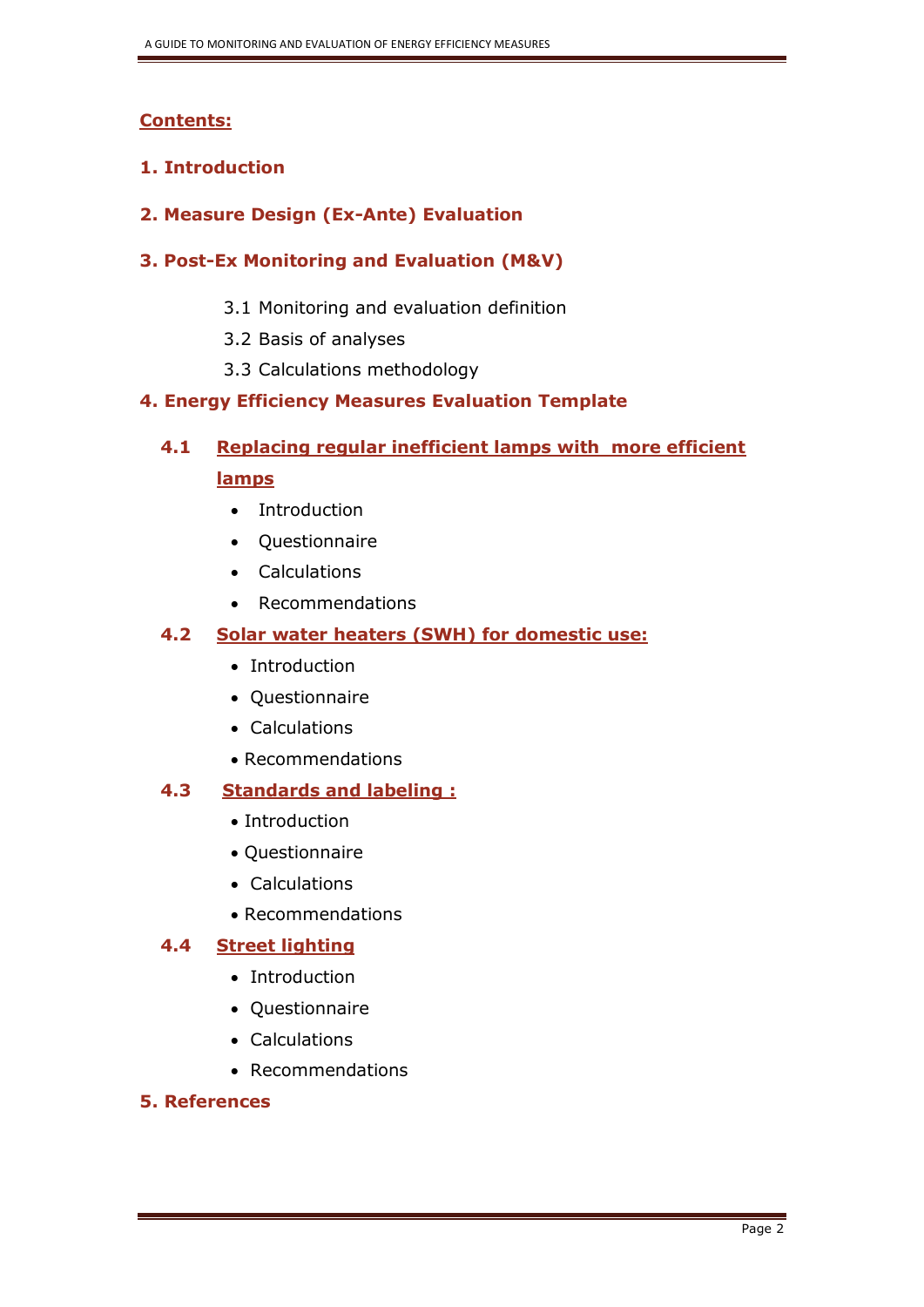## **Contents:**

## **1. Introduction**

**2. Measure Design (Ex-Ante) Evaluation**

## **3. Post-Ex Monitoring and Evaluation (M&V)**

- 3.1 Monitoring and evaluation definition
- 3.2 Basis of analyses
- 3.3 Calculations methodology

## **4. Energy Efficiency Measures Evaluation Template**

# **4.1 Replacing regular inefficient lamps with more efficient lamps**

- Introduction
- Ouestionnaire
- Calculations
- Recommendations

## **4.2 Solar water heaters (SWH) for domestic use:**

- Introduction
- Questionnaire
- Calculations
- Recommendations

## **4.3 Standards and labeling :**

- Introduction
- Questionnaire
- Calculations
- Recommendations

## **4.4 Street lighting**

- Introduction
- Questionnaire
- Calculations
- Recommendations

## **5. References**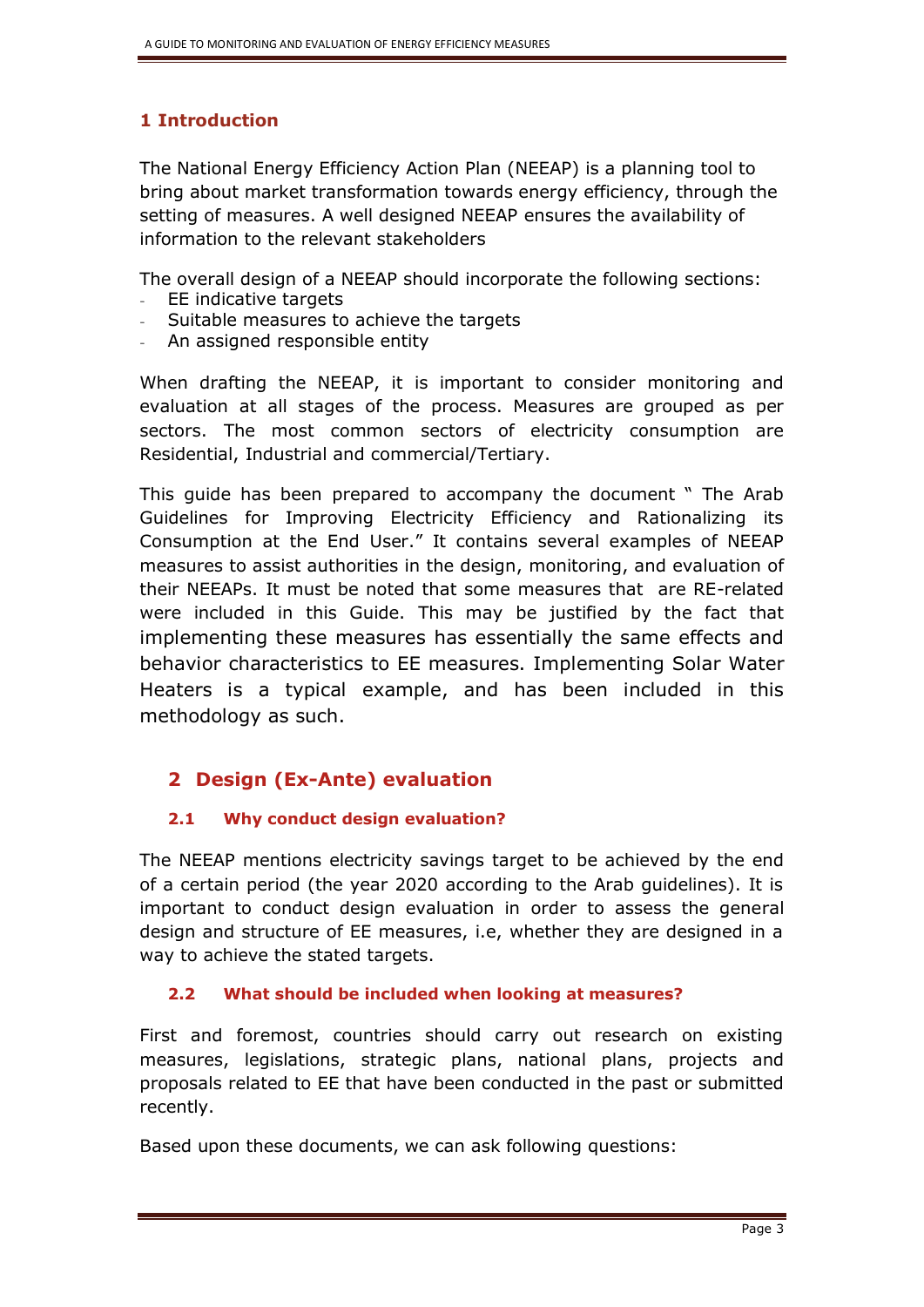## **1 Introduction**

The National Energy Efficiency Action Plan (NEEAP) is a planning tool to bring about market transformation towards energy efficiency, through the setting of measures. A well designed NEEAP ensures the availability of information to the relevant stakeholders

The overall design of a NEEAP should incorporate the following sections:

- EE indicative targets
- Suitable measures to achieve the targets
- An assigned responsible entity

When drafting the NEEAP, it is important to consider monitoring and evaluation at all stages of the process. Measures are grouped as per sectors. The most common sectors of electricity consumption are Residential, Industrial and commercial/Tertiary.

This guide has been prepared to accompany the document " The Arab Guidelines for Improving Electricity Efficiency and Rationalizing its Consumption at the End User." It contains several examples of NEEAP measures to assist authorities in the design, monitoring, and evaluation of their NEEAPs. It must be noted that some measures that are RE-related were included in this Guide. This may be justified by the fact that implementing these measures has essentially the same effects and behavior characteristics to EE measures. Implementing Solar Water Heaters is a typical example, and has been included in this methodology as such.

# **2 Design (Ex-Ante) evaluation**

## **2.1 Why conduct design evaluation?**

The NEEAP mentions electricity savings target to be achieved by the end of a certain period (the year 2020 according to the Arab guidelines). It is important to conduct design evaluation in order to assess the general design and structure of EE measures, i.e, whether they are designed in a way to achieve the stated targets.

## **2.2 What should be included when looking at measures?**

First and foremost, countries should carry out research on existing measures, legislations, strategic plans, national plans, projects and proposals related to EE that have been conducted in the past or submitted recently.

Based upon these documents, we can ask following questions: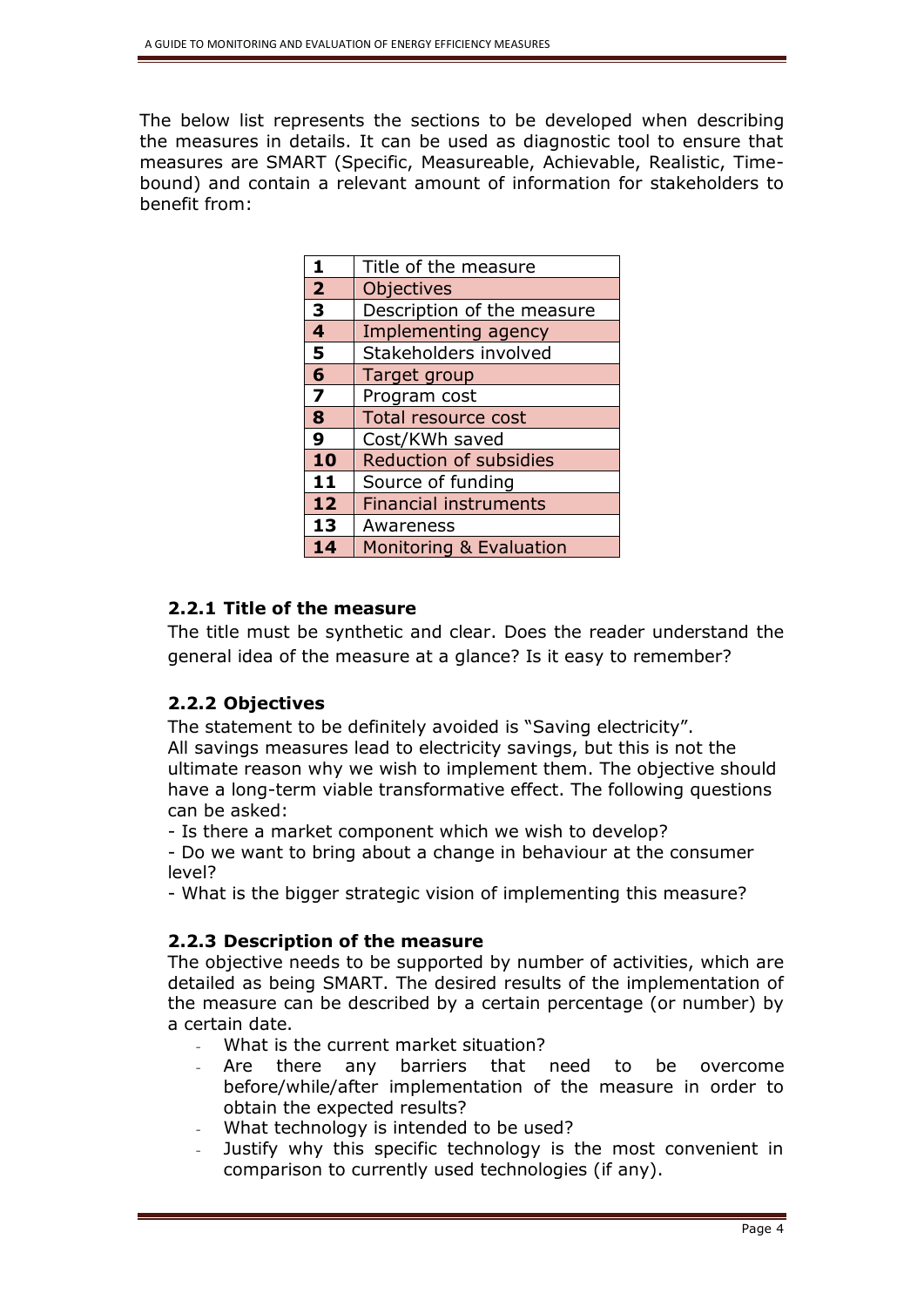The below list represents the sections to be developed when describing the measures in details. It can be used as diagnostic tool to ensure that measures are SMART (Specific, Measureable, Achievable, Realistic, Timebound) and contain a relevant amount of information for stakeholders to benefit from:

| 1                       | Title of the measure          |
|-------------------------|-------------------------------|
| $\overline{2}$          | Objectives                    |
| 3                       | Description of the measure    |
| $\overline{\mathbf{4}}$ | <b>Implementing agency</b>    |
| 5                       | Stakeholders involved         |
| 6                       | Target group                  |
| $\overline{\mathbf{z}}$ | Program cost                  |
| 8                       | Total resource cost           |
| 9                       | Cost/KWh saved                |
| 10                      | <b>Reduction of subsidies</b> |
| 11                      | Source of funding             |
| 12                      | <b>Financial instruments</b>  |
| 13                      | Awareness                     |
| 14                      | Monitoring & Evaluation       |

## **2.2.1 Title of the measure**

The title must be synthetic and clear. Does the reader understand the general idea of the measure at a glance? Is it easy to remember?

## **2.2.2 Objectives**

The statement to be definitely avoided is "Saving electricity". All savings measures lead to electricity savings, but this is not the ultimate reason why we wish to implement them. The objective should have a long-term viable transformative effect. The following questions can be asked:

- Is there a market component which we wish to develop?

- Do we want to bring about a change in behaviour at the consumer level?

- What is the bigger strategic vision of implementing this measure?

## **2.2.3 Description of the measure**

The objective needs to be supported by number of activities, which are detailed as being SMART. The desired results of the implementation of the measure can be described by a certain percentage (or number) by a certain date.

- What is the current market situation?
- Are there any barriers that need to be overcome before/while/after implementation of the measure in order to obtain the expected results?
- What technology is intended to be used?
- Justify why this specific technology is the most convenient in comparison to currently used technologies (if any).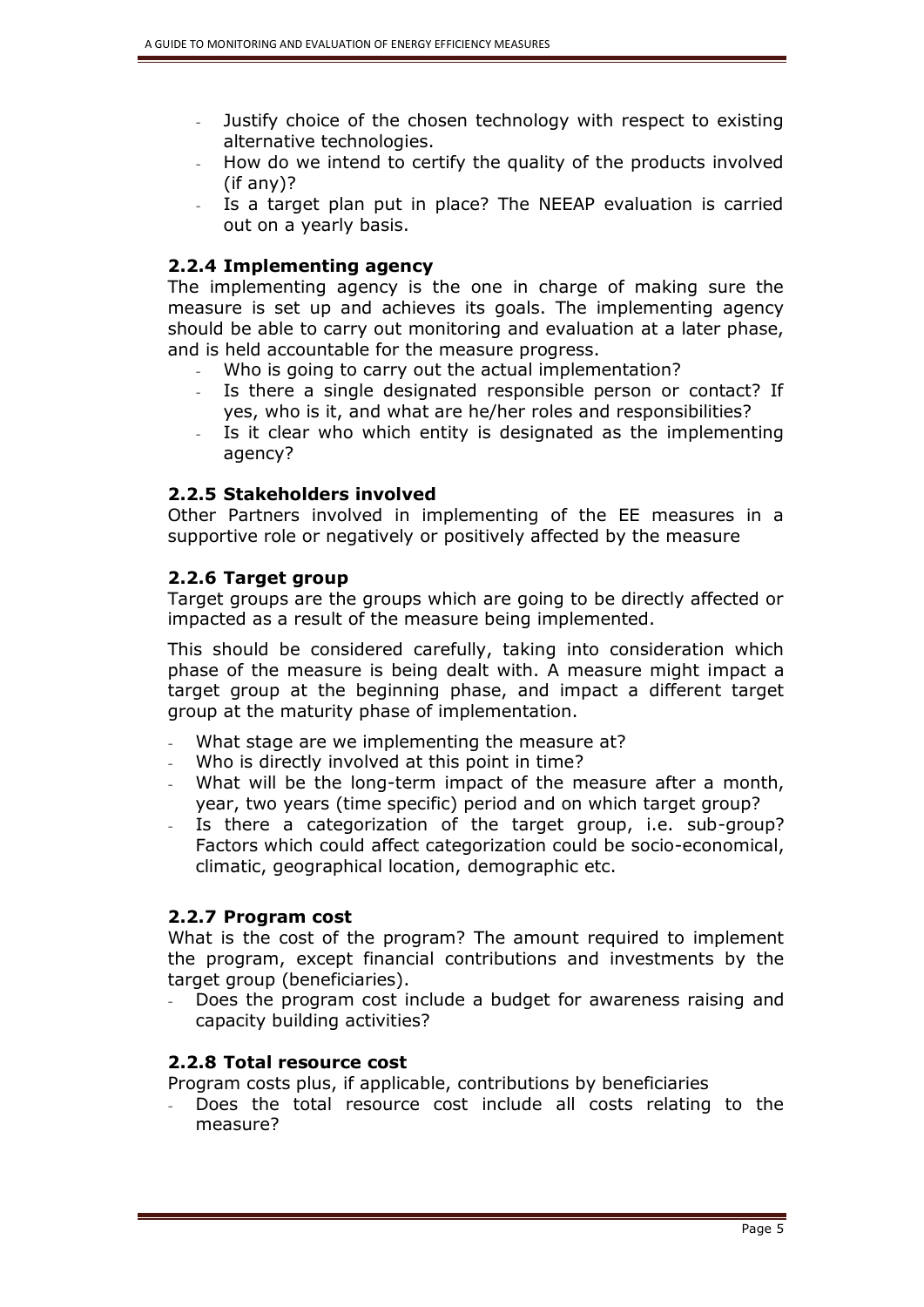- Justify choice of the chosen technology with respect to existing alternative technologies.
- How do we intend to certify the quality of the products involved (if any)?
- Is a target plan put in place? The NEEAP evaluation is carried out on a yearly basis.

## **2.2.4 Implementing agency**

The implementing agency is the one in charge of making sure the measure is set up and achieves its goals. The implementing agency should be able to carry out monitoring and evaluation at a later phase, and is held accountable for the measure progress.

- Who is going to carry out the actual implementation?
- Is there a single designated responsible person or contact? If yes, who is it, and what are he/her roles and responsibilities?
- Is it clear who which entity is designated as the implementing agency?

## **2.2.5 Stakeholders involved**

Other Partners involved in implementing of the EE measures in a supportive role or negatively or positively affected by the measure

## **2.2.6 Target group**

Target groups are the groups which are going to be directly affected or impacted as a result of the measure being implemented.

This should be considered carefully, taking into consideration which phase of the measure is being dealt with. A measure might impact a target group at the beginning phase, and impact a different target group at the maturity phase of implementation.

- What stage are we implementing the measure at?
- Who is directly involved at this point in time?
- What will be the long-term impact of the measure after a month, year, two years (time specific) period and on which target group?
- Is there a categorization of the target group, i.e. sub-group? Factors which could affect categorization could be socio-economical, climatic, geographical location, demographic etc.

## **2.2.7 Program cost**

What is the cost of the program? The amount required to implement the program, except financial contributions and investments by the target group (beneficiaries).

Does the program cost include a budget for awareness raising and capacity building activities?

## **2.2.8 Total resource cost**

- Program costs plus, if applicable, contributions by beneficiaries
- Does the total resource cost include all costs relating to the measure?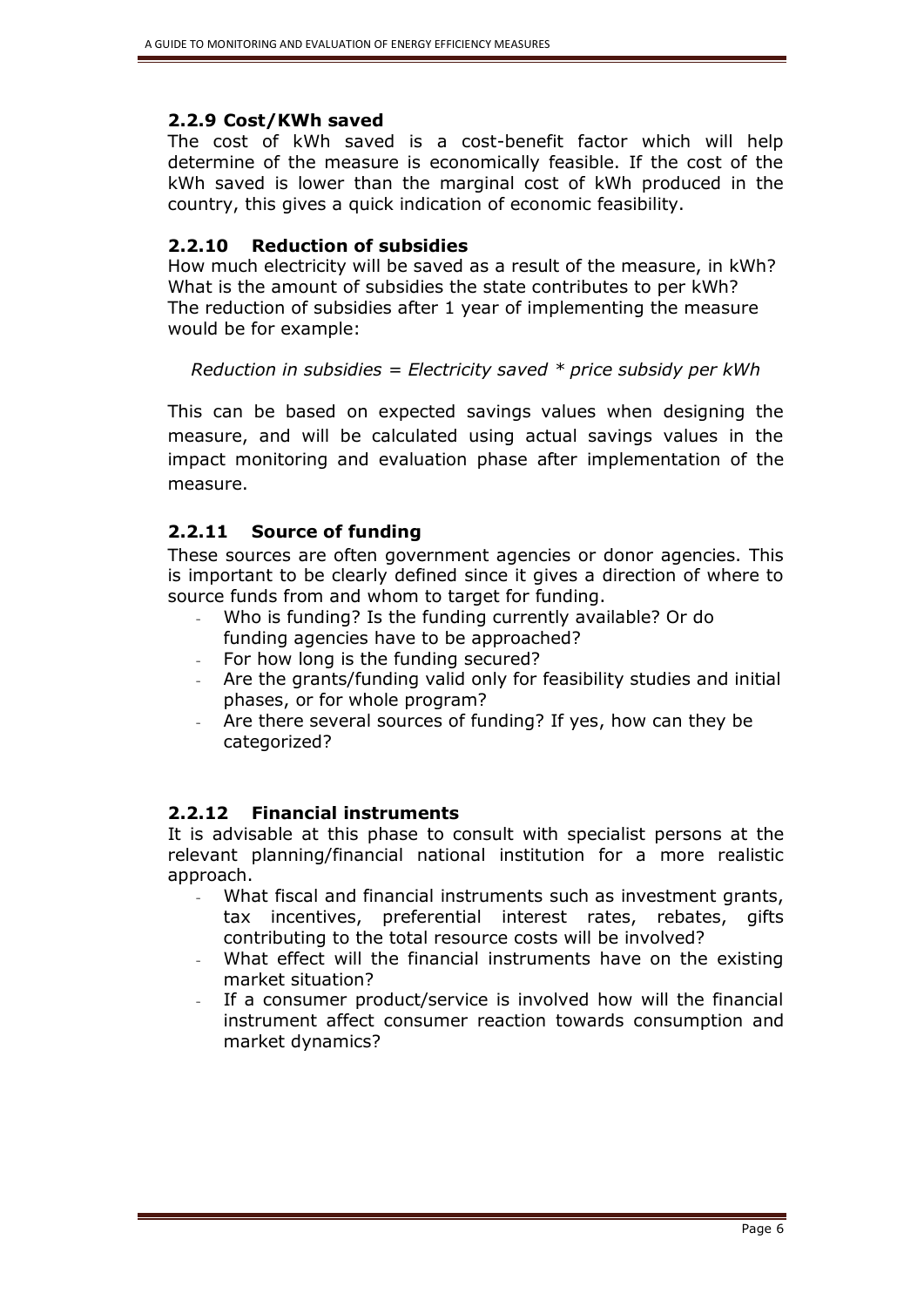## **2.2.9 Cost/KWh saved**

The cost of kWh saved is a cost-benefit factor which will help determine of the measure is economically feasible. If the cost of the kWh saved is lower than the marginal cost of kWh produced in the country, this gives a quick indication of economic feasibility.

## **2.2.10 Reduction of subsidies**

How much electricity will be saved as a result of the measure, in kWh? What is the amount of subsidies the state contributes to per kWh? The reduction of subsidies after 1 year of implementing the measure would be for example:

## *Reduction in subsidies = Electricity saved \* price subsidy per kWh*

This can be based on expected savings values when designing the measure, and will be calculated using actual savings values in the impact monitoring and evaluation phase after implementation of the measure.

## **2.2.11 Source of funding**

These sources are often government agencies or donor agencies. This is important to be clearly defined since it gives a direction of where to source funds from and whom to target for funding.

- Who is funding? Is the funding currently available? Or do funding agencies have to be approached?
- For how long is the funding secured?
- Are the grants/funding valid only for feasibility studies and initial phases, or for whole program?
- Are there several sources of funding? If yes, how can they be categorized?

## **2.2.12 Financial instruments**

It is advisable at this phase to consult with specialist persons at the relevant planning/financial national institution for a more realistic approach.

- What fiscal and financial instruments such as investment grants, tax incentives, preferential interest rates, rebates, gifts contributing to the total resource costs will be involved?
- What effect will the financial instruments have on the existing market situation?
- If a consumer product/service is involved how will the financial instrument affect consumer reaction towards consumption and market dynamics?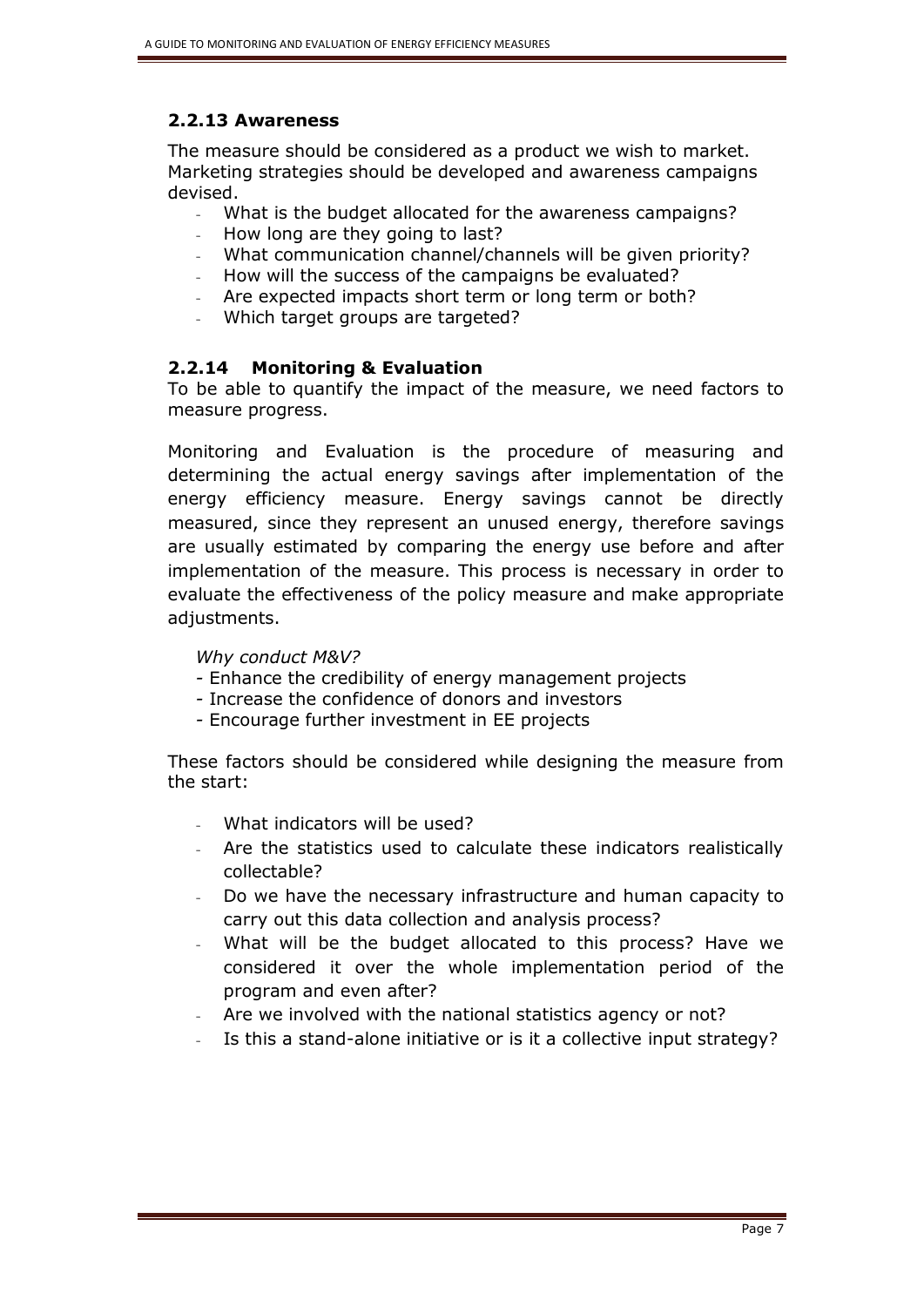## **2.2.13 Awareness**

The measure should be considered as a product we wish to market. Marketing strategies should be developed and awareness campaigns devised.

- What is the budget allocated for the awareness campaigns?
- How long are they going to last?
- What communication channel/channels will be given priority?
- How will the success of the campaigns be evaluated?
- Are expected impacts short term or long term or both?
- Which target groups are targeted?

## **2.2.14 Monitoring & Evaluation**

To be able to quantify the impact of the measure, we need factors to measure progress.

Monitoring and Evaluation is the procedure of measuring and determining the actual energy savings after implementation of the energy efficiency measure. Energy savings cannot be directly measured, since they represent an unused energy, therefore savings are usually estimated by comparing the energy use before and after implementation of the measure. This process is necessary in order to evaluate the effectiveness of the policy measure and make appropriate adjustments.

#### *Why conduct M&V?*

- *-* Enhance the credibility of energy management projects
- *-* Increase the confidence of donors and investors
- *-* Encourage further investment in EE projects

These factors should be considered while designing the measure from the start:

- What indicators will be used?
- Are the statistics used to calculate these indicators realistically collectable?
- Do we have the necessary infrastructure and human capacity to carry out this data collection and analysis process?
- What will be the budget allocated to this process? Have we considered it over the whole implementation period of the program and even after?
- Are we involved with the national statistics agency or not?
- Is this a stand-alone initiative or is it a collective input strategy?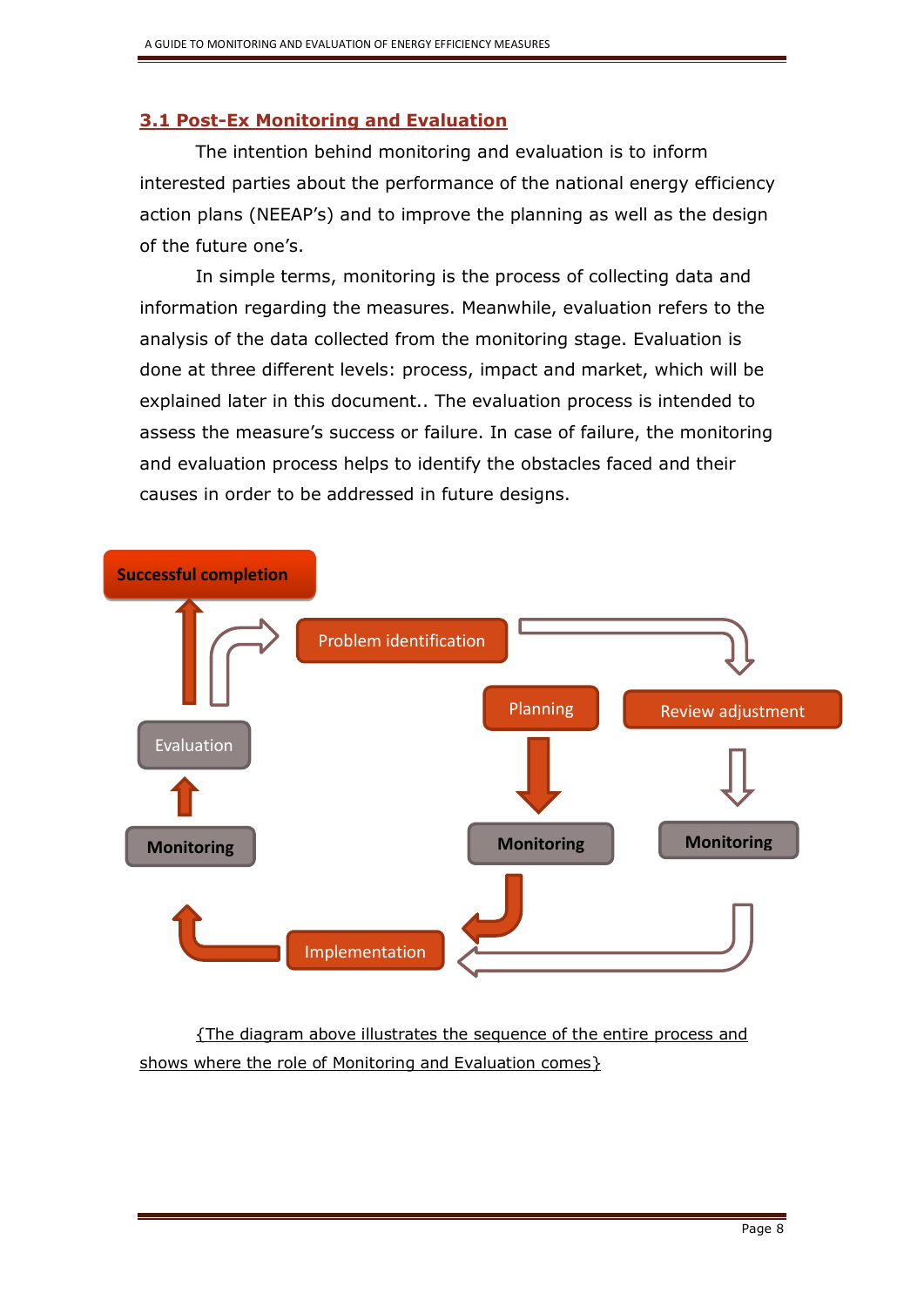## **3.1 Post-Ex Monitoring and Evaluation**

The intention behind monitoring and evaluation is to inform interested parties about the performance of the national energy efficiency action plans (NEEAP's) and to improve the planning as well as the design of the future one's.

In simple terms, monitoring is the process of collecting data and information regarding the measures. Meanwhile, evaluation refers to the analysis of the data collected from the monitoring stage. Evaluation is done at three different levels: process, impact and market, which will be explained later in this document.. The evaluation process is intended to assess the measure's success or failure. In case of failure, the monitoring and evaluation process helps to identify the obstacles faced and their causes in order to be addressed in future designs.



{The diagram above illustrates the sequence of the entire process and shows where the role of Monitoring and Evaluation comes}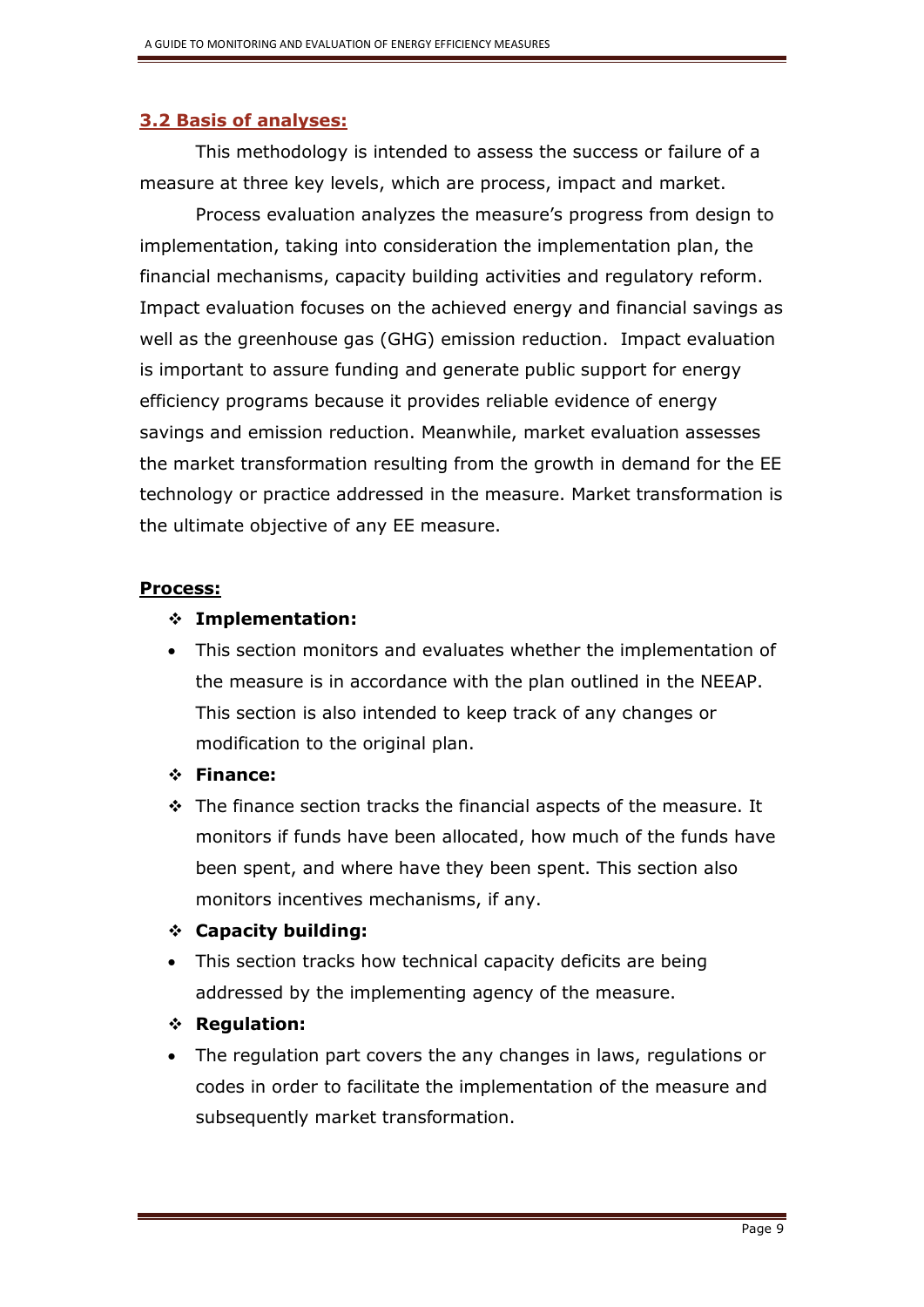## **3.2 Basis of analyses:**

This methodology is intended to assess the success or failure of a measure at three key levels, which are process, impact and market.

Process evaluation analyzes the measure's progress from design to implementation, taking into consideration the implementation plan, the financial mechanisms, capacity building activities and regulatory reform. Impact evaluation focuses on the achieved energy and financial savings as well as the greenhouse gas (GHG) emission reduction. Impact evaluation is important to assure funding and generate public support for energy efficiency programs because it provides reliable evidence of energy savings and emission reduction. Meanwhile, market evaluation assesses the market transformation resulting from the growth in demand for the EE technology or practice addressed in the measure. Market transformation is the ultimate objective of any EE measure.

#### **Process:**

## **Implementation:**

 This section monitors and evaluates whether the implementation of the measure is in accordance with the plan outlined in the NEEAP. This section is also intended to keep track of any changes or modification to the original plan.

## **Finance:**

- $\div$  The finance section tracks the financial aspects of the measure. It monitors if funds have been allocated, how much of the funds have been spent, and where have they been spent. This section also monitors incentives mechanisms, if any.
- **Capacity building:**
- This section tracks how technical capacity deficits are being addressed by the implementing agency of the measure.
- **Regulation:**
- The regulation part covers the any changes in laws, regulations or codes in order to facilitate the implementation of the measure and subsequently market transformation.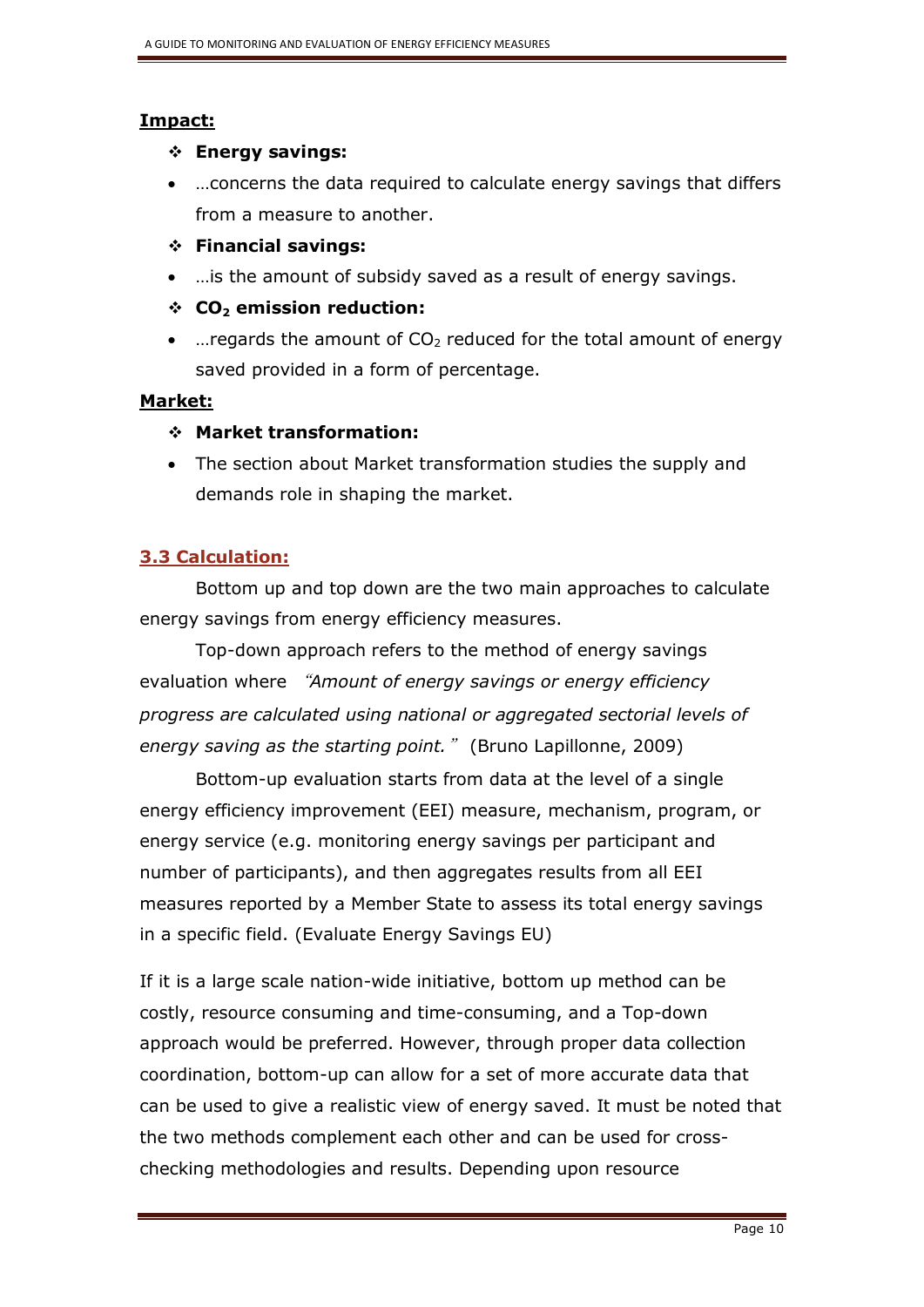## **Impact:**

## **Energy savings:**

- …concerns the data required to calculate energy savings that differs from a measure to another.
- **Financial savings:**
- …is the amount of subsidy saved as a result of energy savings.
- **CO<sup>2</sup> emission reduction:**
- ... regards the amount of  $CO<sub>2</sub>$  reduced for the total amount of energy saved provided in a form of percentage.

## **Market:**

## **Market transformation:**

• The section about Market transformation studies the supply and demands role in shaping the market.

## **3.3 Calculation:**

Bottom up and top down are the two main approaches to calculate energy savings from energy efficiency measures.

Top-down approach refers to the method of energy savings evaluation where "*Amount of energy savings or energy efficiency progress are calculated using national or aggregated sectorial levels of energy saving as the starting point.*" (Bruno Lapillonne, 2009)

Bottom-up evaluation starts from data at the level of a single energy efficiency improvement (EEI) measure, mechanism, program, or energy service (e.g. monitoring energy savings per participant and number of participants), and then aggregates results from all EEI measures reported by a Member State to assess its total energy savings in a specific field. (Evaluate Energy Savings EU)

If it is a large scale nation-wide initiative, bottom up method can be costly, resource consuming and time-consuming, and a Top-down approach would be preferred. However, through proper data collection coordination, bottom-up can allow for a set of more accurate data that can be used to give a realistic view of energy saved. It must be noted that the two methods complement each other and can be used for crosschecking methodologies and results. Depending upon resource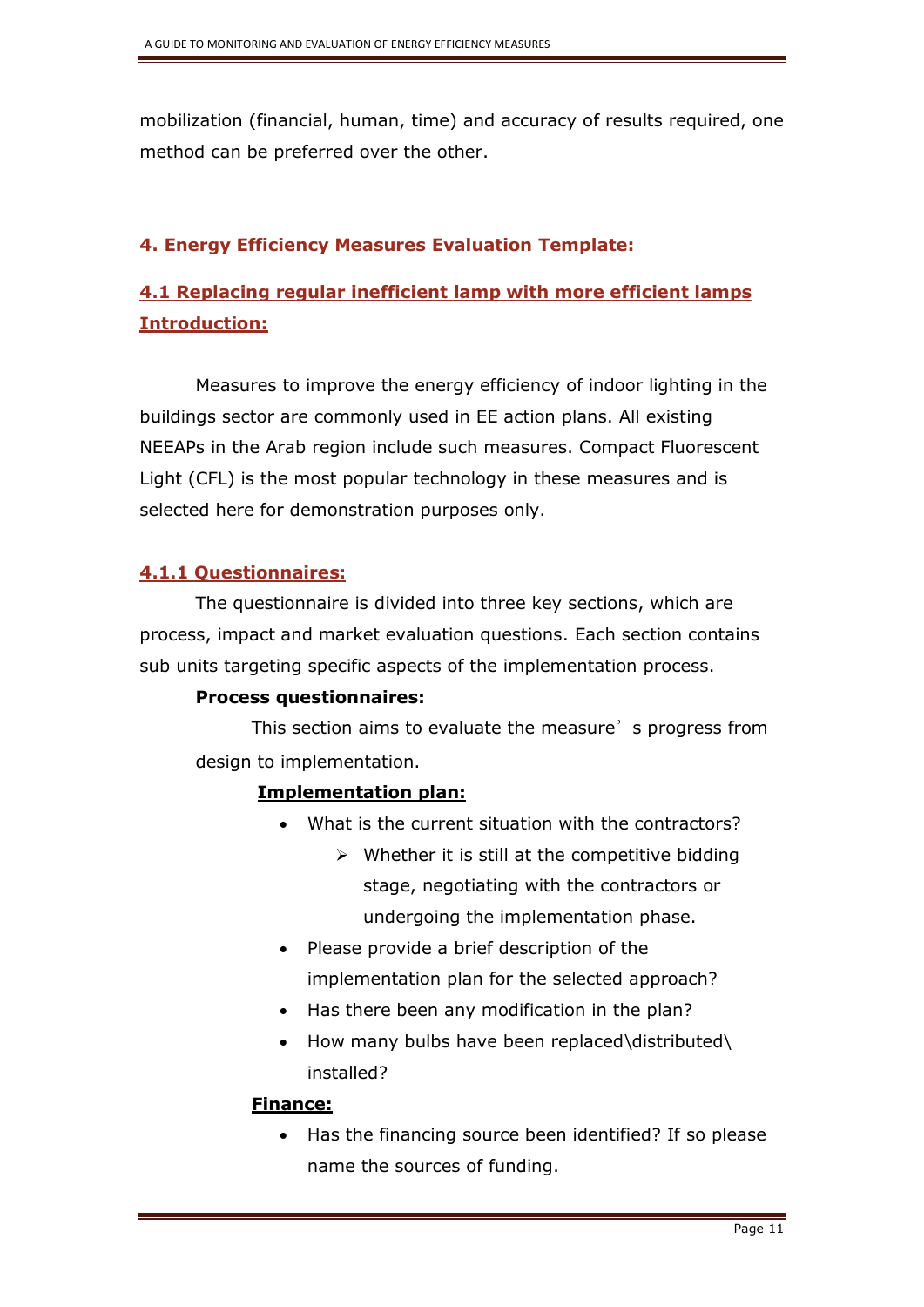mobilization (financial, human, time) and accuracy of results required, one method can be preferred over the other.

## **4. Energy Efficiency Measures Evaluation Template:**

# **4.1 Replacing regular inefficient lamp with more efficient lamps Introduction:**

Measures to improve the energy efficiency of indoor lighting in the buildings sector are commonly used in EE action plans. All existing NEEAPs in the Arab region include such measures. Compact Fluorescent Light (CFL) is the most popular technology in these measures and is selected here for demonstration purposes only.

## **4.1.1 Questionnaires:**

The questionnaire is divided into three key sections, which are process, impact and market evaluation questions. Each section contains sub units targeting specific aspects of the implementation process.

## **Process questionnaires:**

This section aims to evaluate the measure's progress from design to implementation.

## **Implementation plan:**

- What is the current situation with the contractors?
	- $\triangleright$  Whether it is still at the competitive bidding stage, negotiating with the contractors or undergoing the implementation phase.
- Please provide a brief description of the implementation plan for the selected approach?
- Has there been any modification in the plan?
- How many bulbs have been replaced\distributed\ installed?

#### **Finance:**

• Has the financing source been identified? If so please name the sources of funding.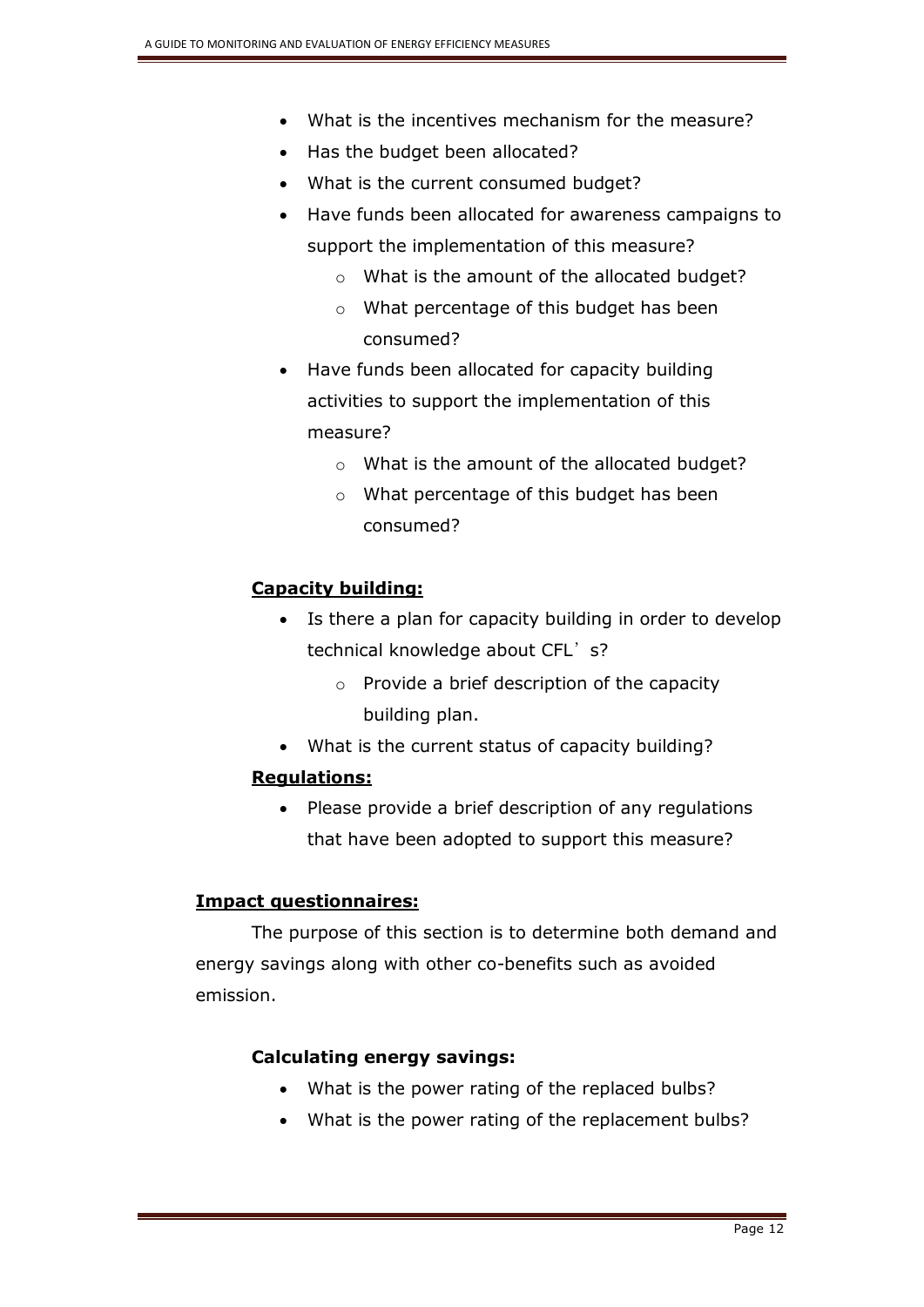- What is the incentives mechanism for the measure?
- Has the budget been allocated?
- What is the current consumed budget?
- Have funds been allocated for awareness campaigns to support the implementation of this measure?
	- o What is the amount of the allocated budget?
	- o What percentage of this budget has been consumed?
- Have funds been allocated for capacity building activities to support the implementation of this measure?
	- o What is the amount of the allocated budget?
	- o What percentage of this budget has been consumed?

#### **Capacity building:**

- Is there a plan for capacity building in order to develop technical knowledge about CFL's?
	- o Provide a brief description of the capacity building plan.
- What is the current status of capacity building?

#### **Regulations:**

• Please provide a brief description of any regulations that have been adopted to support this measure?

#### **Impact questionnaires:**

The purpose of this section is to determine both demand and energy savings along with other co-benefits such as avoided emission.

#### **Calculating energy savings:**

- What is the power rating of the replaced bulbs?
- What is the power rating of the replacement bulbs?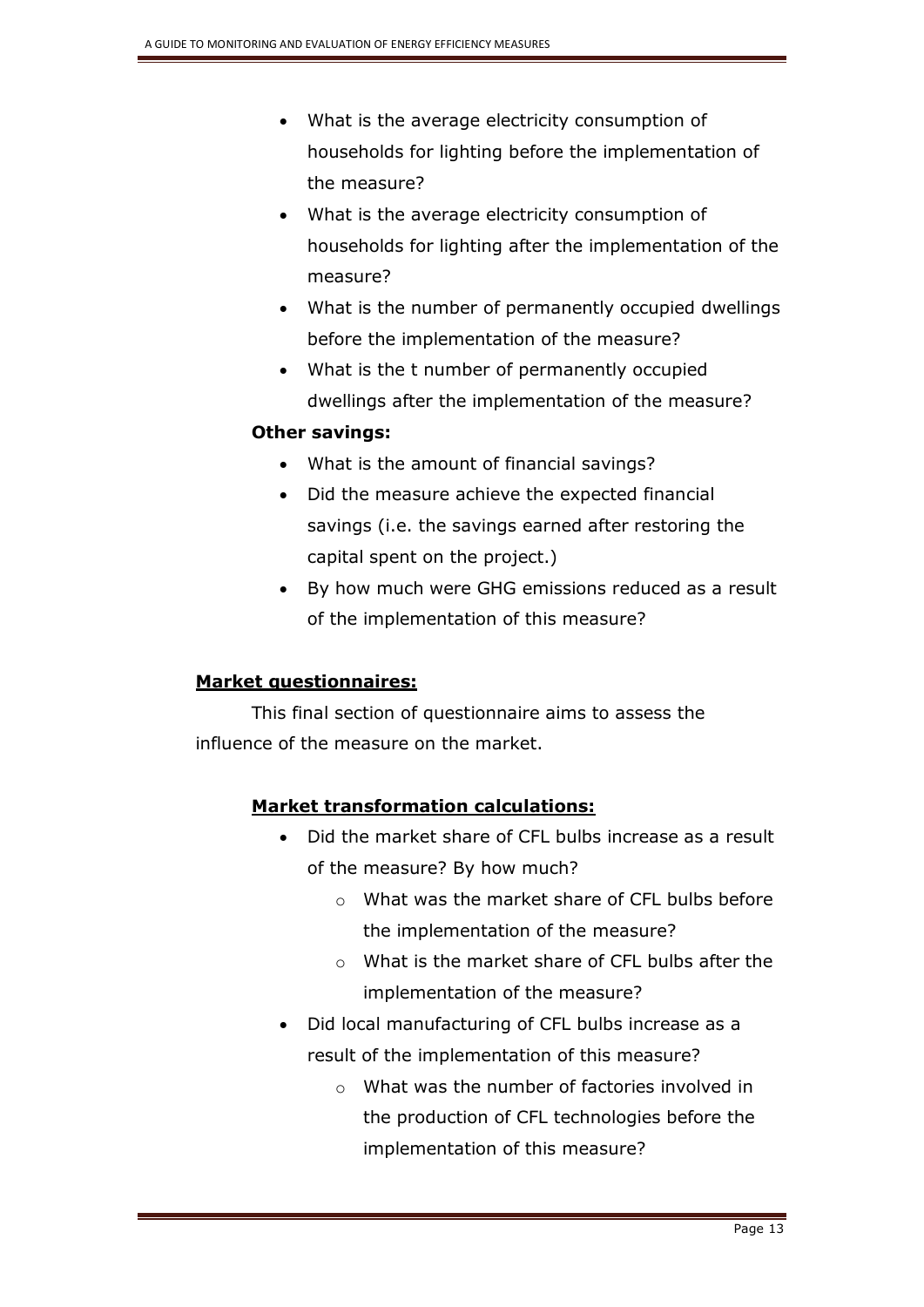- What is the average electricity consumption of households for lighting before the implementation of the measure?
- What is the average electricity consumption of households for lighting after the implementation of the measure?
- What is the number of permanently occupied dwellings before the implementation of the measure?
- What is the t number of permanently occupied dwellings after the implementation of the measure?

## **Other savings:**

- What is the amount of financial savings?
- Did the measure achieve the expected financial savings (i.e. the savings earned after restoring the capital spent on the project.)
- By how much were GHG emissions reduced as a result of the implementation of this measure?

## **Market questionnaires:**

This final section of questionnaire aims to assess the influence of the measure on the market.

## **Market transformation calculations:**

- Did the market share of CFL bulbs increase as a result of the measure? By how much?
	- o What was the market share of CFL bulbs before the implementation of the measure?
	- o What is the market share of CFL bulbs after the implementation of the measure?
- Did local manufacturing of CFL bulbs increase as a result of the implementation of this measure?
	- o What was the number of factories involved in the production of CFL technologies before the implementation of this measure?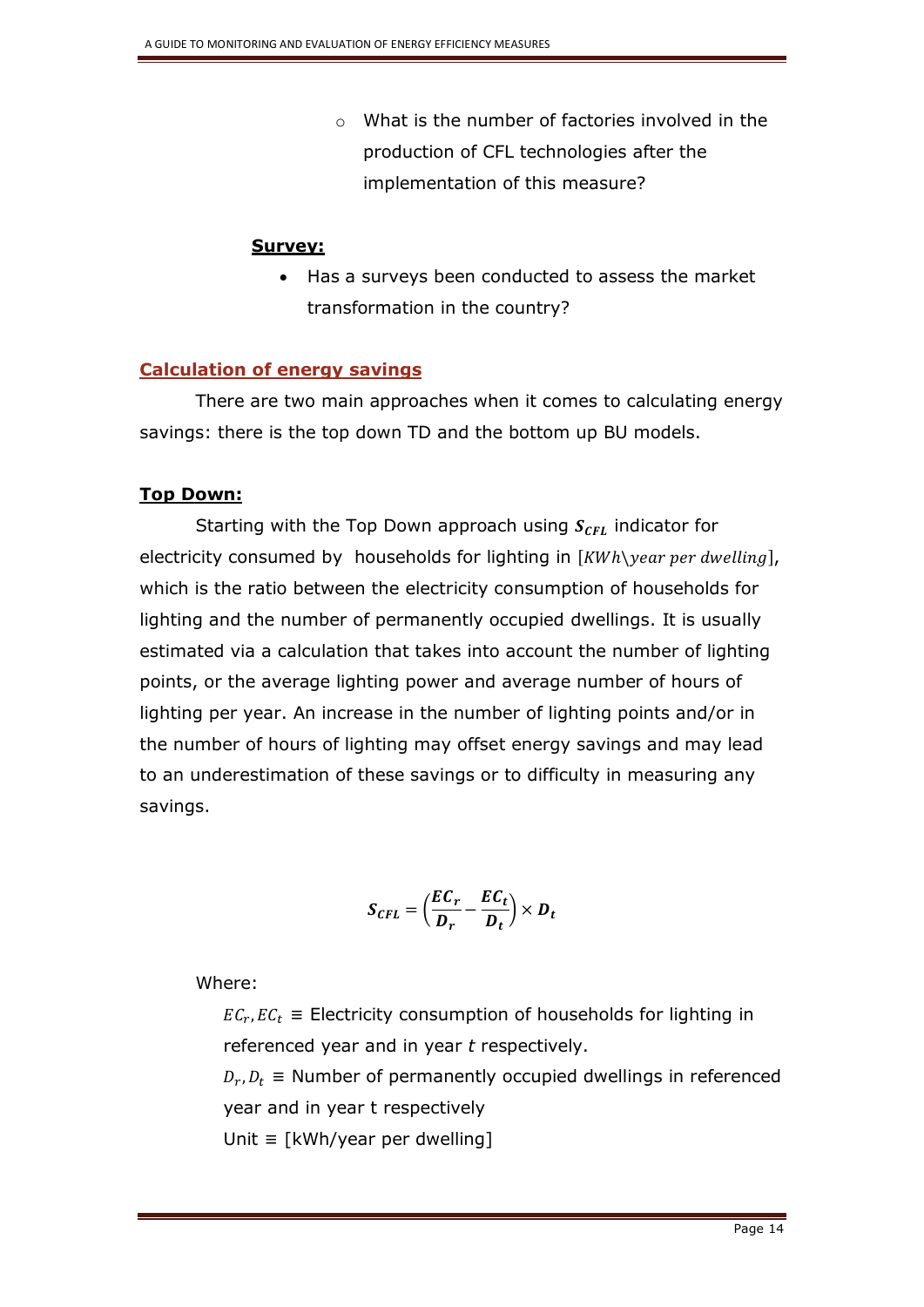o What is the number of factories involved in the production of CFL technologies after the implementation of this measure?

#### **Survey:**

 Has a surveys been conducted to assess the market transformation in the country?

## **Calculation of energy savings**

There are two main approaches when it comes to calculating energy savings: there is the top down TD and the bottom up BU models.

## **Top Down:**

Starting with the Top Down approach using  $S_{\text{CFL}}$  indicator for electricity consumed by households for lighting in  $[KWh\$  year per dwelling], which is the ratio between the electricity consumption of households for lighting and the number of permanently occupied dwellings. It is usually estimated via a calculation that takes into account the number of lighting points, or the average lighting power and average number of hours of lighting per year. An increase in the number of lighting points and/or in the number of hours of lighting may offset energy savings and may lead to an underestimation of these savings or to difficulty in measuring any savings.

$$
S_{CFL} = \left(\frac{EC_r}{D_r} - \frac{EC_t}{D_t}\right) \times D_t
$$

Where:

 $EC_r, EC_t \equiv$  Electricity consumption of households for lighting in referenced year and in year *t* respectively.

 $D_r, D_t \equiv$  Number of permanently occupied dwellings in referenced year and in year t respectively

Unit ≡ [kWh/year per dwelling]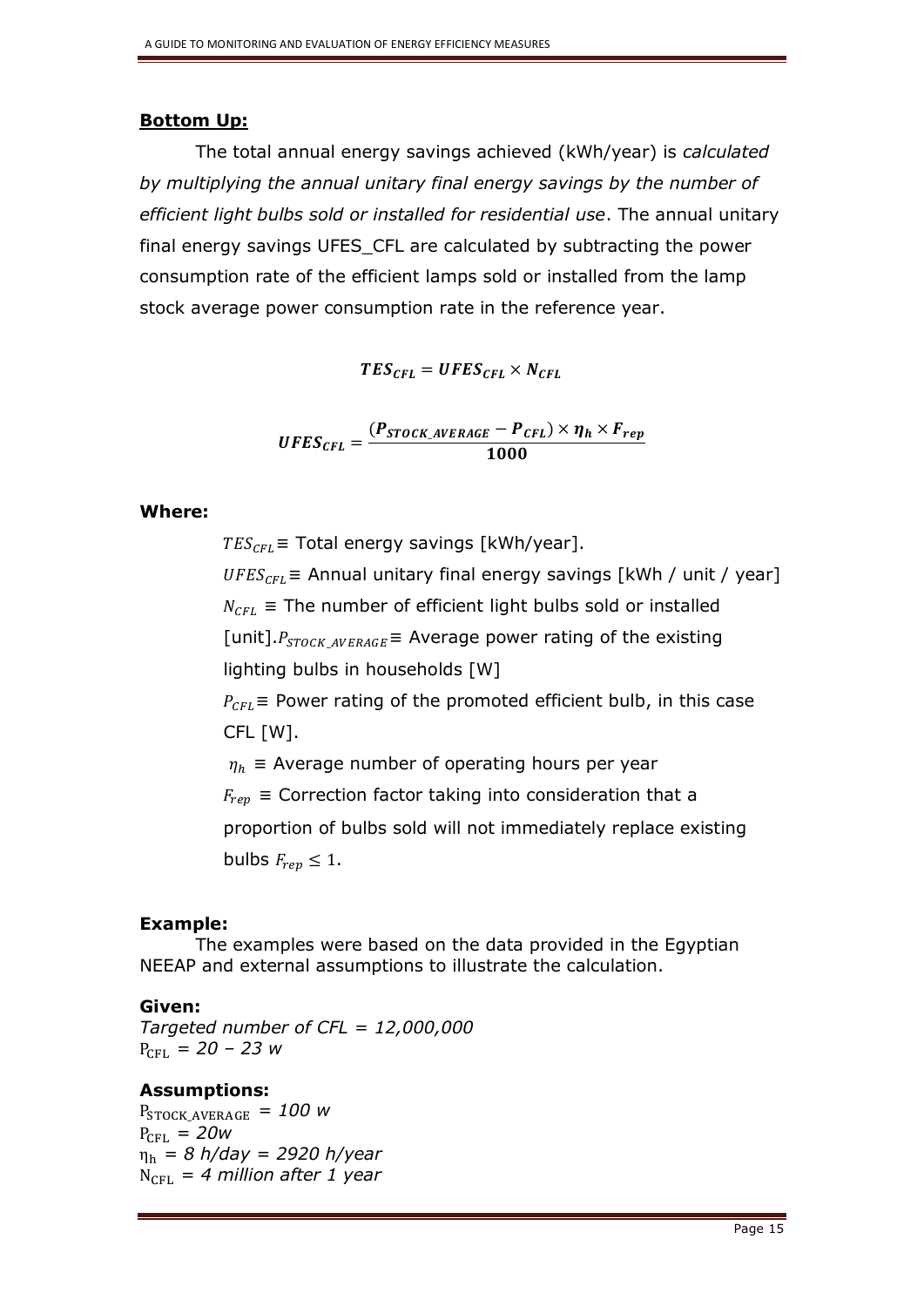#### **Bottom Up:**

The total annual energy savings achieved (kWh/year) is *calculated by multiplying the annual unitary final energy savings by the number of efficient light bulbs sold or installed for residential use*. The annual unitary final energy savings UFES\_CFL are calculated by subtracting the power consumption rate of the efficient lamps sold or installed from the lamp stock average power consumption rate in the reference year.

 $TES_{CFL} = UFES_{CFL} \times N_{CFL}$ 

$$
UFES_{CFL} = \frac{(P_{STOCK\_AVERAGE} - P_{CFL}) \times \eta_h \times F_{rep}}{1000}
$$

#### **Where:**

 $TES_{CFL}$  = Total energy savings [kWh/year].

 $UFES_{CFL}$  = Annual unitary final energy savings [kWh / unit / year]  $N_{\text{CFL}}$  = The number of efficient light bulbs sold or installed [unit]. $P_{STOCK\ AVERAGE}$  = Average power rating of the existing lighting bulbs in households [W]

 $P_{CFL}$  = Power rating of the promoted efficient bulb, in this case CFL [W].

 $\eta_h$  = Average number of operating hours per year

 $F_{ren} \equiv$  Correction factor taking into consideration that a

proportion of bulbs sold will not immediately replace existing bulbs  $F_{ren} \leq 1$ .

#### **Example:**

The examples were based on the data provided in the Egyptian NEEAP and external assumptions to illustrate the calculation.

#### **Given:**

*Targeted number of CFL = 12,000,000*  $P_{\text{CFL}} = 20 - 23$  *w* 

#### **Assumptions:**

 $P_{STOCK\ AVERAGE}$  = 100 w  $P_{\text{CH}} = 20w$ η<sup>h</sup> *= 8 h/day = 2920 h/year*  $N_{\text{CH}}$  = 4 million after 1 year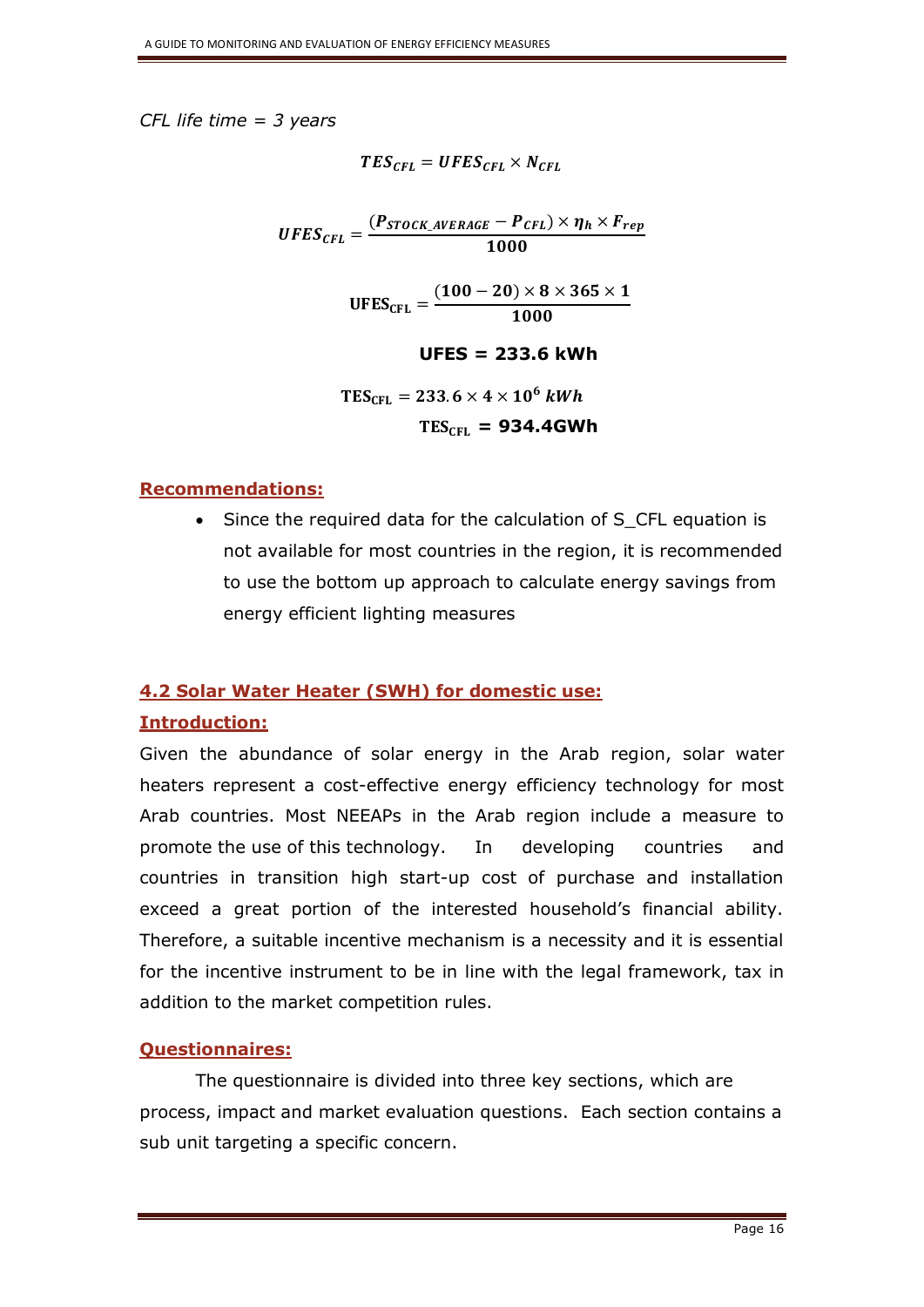*CFL life time = 3 years*

 $TES_{CFL} = UFES_{CFL} \times N_{CFL}$ 

 $UFES_{CFL} =$  $(P_{STOCK\_AVERAGE} - P_{CFL}) \times \eta_h \times F_{rep}$ 1000

> $UFES<sub>CFL</sub> =$  $(100 - 20) \times 8 \times 365 \times 1$ 1000

> > **UFES = 233.6 kWh**

$$
TES_{CFL} = 233.6 \times 4 \times 10^6 \text{ kWh}
$$

$$
TES_{CFL} = 934.4GWh
$$

## **Recommendations:**

• Since the required data for the calculation of S\_CFL equation is not available for most countries in the region, it is recommended to use the bottom up approach to calculate energy savings from energy efficient lighting measures

## **4.2 Solar Water Heater (SWH) for domestic use:**

## **Introduction:**

Given the abundance of solar energy in the Arab region, solar water heaters represent a cost-effective energy efficiency technology for most Arab countries. Most NEEAPs in the Arab region include a measure to promote the use of this technology. In developing countries and countries in transition high start-up cost of purchase and installation exceed a great portion of the interested household's financial ability. Therefore, a suitable incentive mechanism is a necessity and it is essential for the incentive instrument to be in line with the legal framework, tax in addition to the market competition rules.

## **Questionnaires:**

The questionnaire is divided into three key sections, which are process, impact and market evaluation questions. Each section contains a sub unit targeting a specific concern.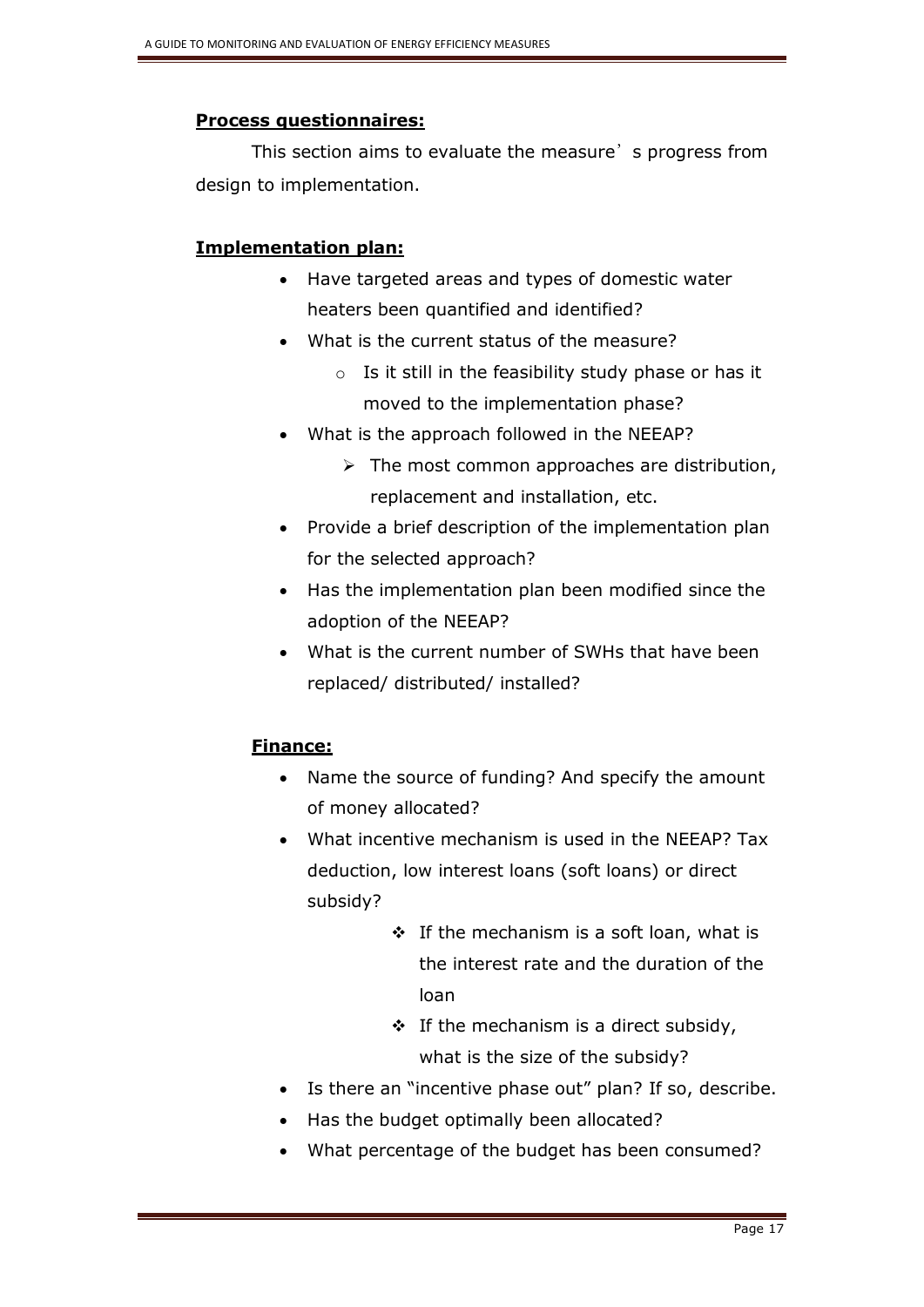## **Process questionnaires:**

This section aims to evaluate the measure's progress from design to implementation.

## **Implementation plan:**

- Have targeted areas and types of domestic water heaters been quantified and identified?
- What is the current status of the measure?
	- $\circ$  Is it still in the feasibility study phase or has it moved to the implementation phase?
- What is the approach followed in the NEEAP?
	- $\triangleright$  The most common approaches are distribution, replacement and installation, etc.
- Provide a brief description of the implementation plan for the selected approach?
- Has the implementation plan been modified since the adoption of the NEEAP?
- What is the current number of SWHs that have been replaced/ distributed/ installed?

## **Finance:**

- Name the source of funding? And specify the amount of money allocated?
- What incentive mechanism is used in the NEEAP? Tax deduction, low interest loans (soft loans) or direct subsidy?
	- $\cdot$  If the mechanism is a soft loan, what is the interest rate and the duration of the loan
	- $\div$  If the mechanism is a direct subsidy, what is the size of the subsidy?
- Is there an "incentive phase out" plan? If so, describe.
- Has the budget optimally been allocated?
- What percentage of the budget has been consumed?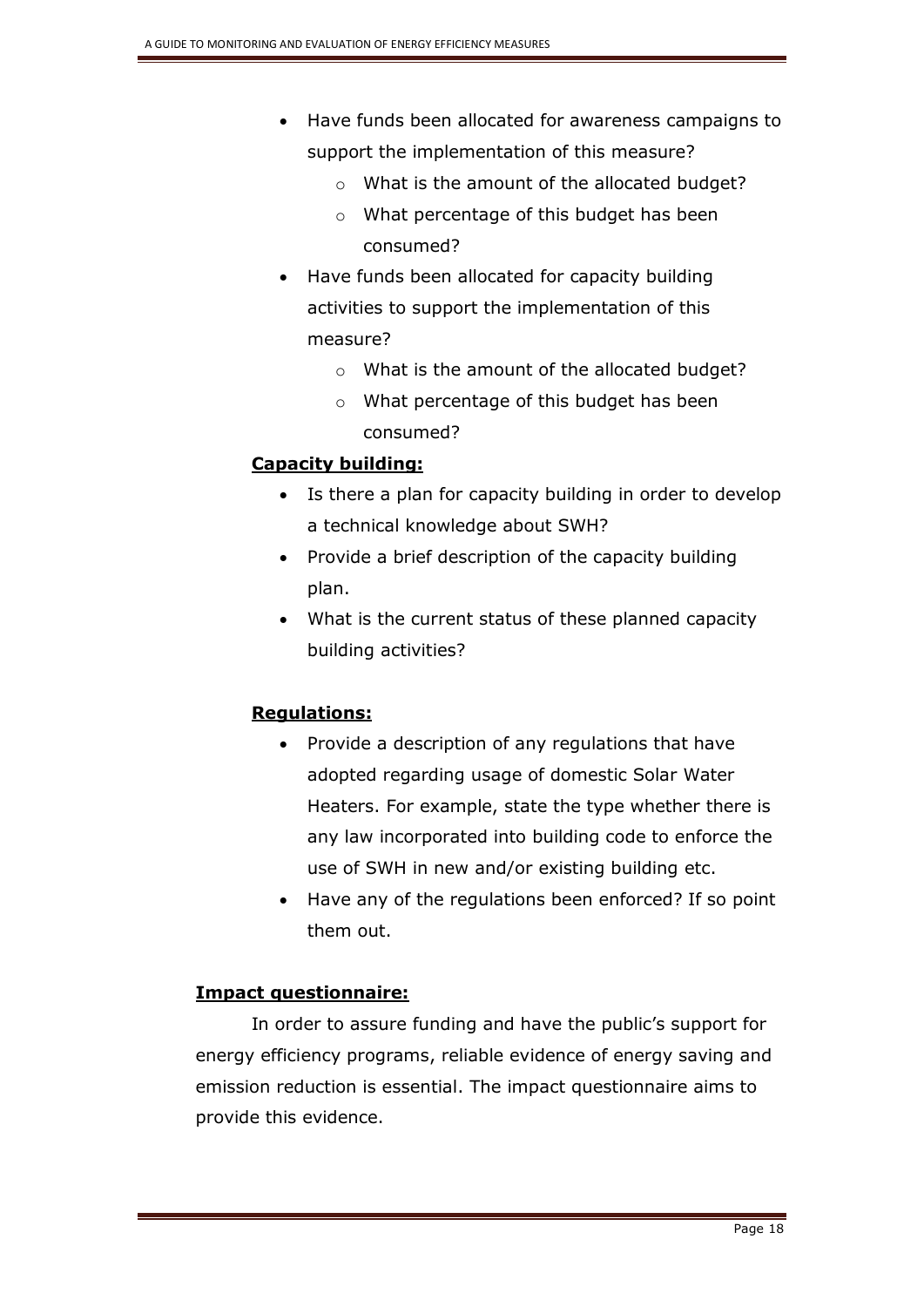- Have funds been allocated for awareness campaigns to support the implementation of this measure?
	- o What is the amount of the allocated budget?
	- o What percentage of this budget has been consumed?
- Have funds been allocated for capacity building activities to support the implementation of this measure?
	- o What is the amount of the allocated budget?
	- o What percentage of this budget has been consumed?

## **Capacity building:**

- Is there a plan for capacity building in order to develop a technical knowledge about SWH?
- Provide a brief description of the capacity building plan.
- What is the current status of these planned capacity building activities?

## **Regulations:**

- Provide a description of any regulations that have adopted regarding usage of domestic Solar Water Heaters. For example, state the type whether there is any law incorporated into building code to enforce the use of SWH in new and/or existing building etc.
- Have any of the regulations been enforced? If so point them out.

## **Impact questionnaire:**

In order to assure funding and have the public's support for energy efficiency programs, reliable evidence of energy saving and emission reduction is essential. The impact questionnaire aims to provide this evidence.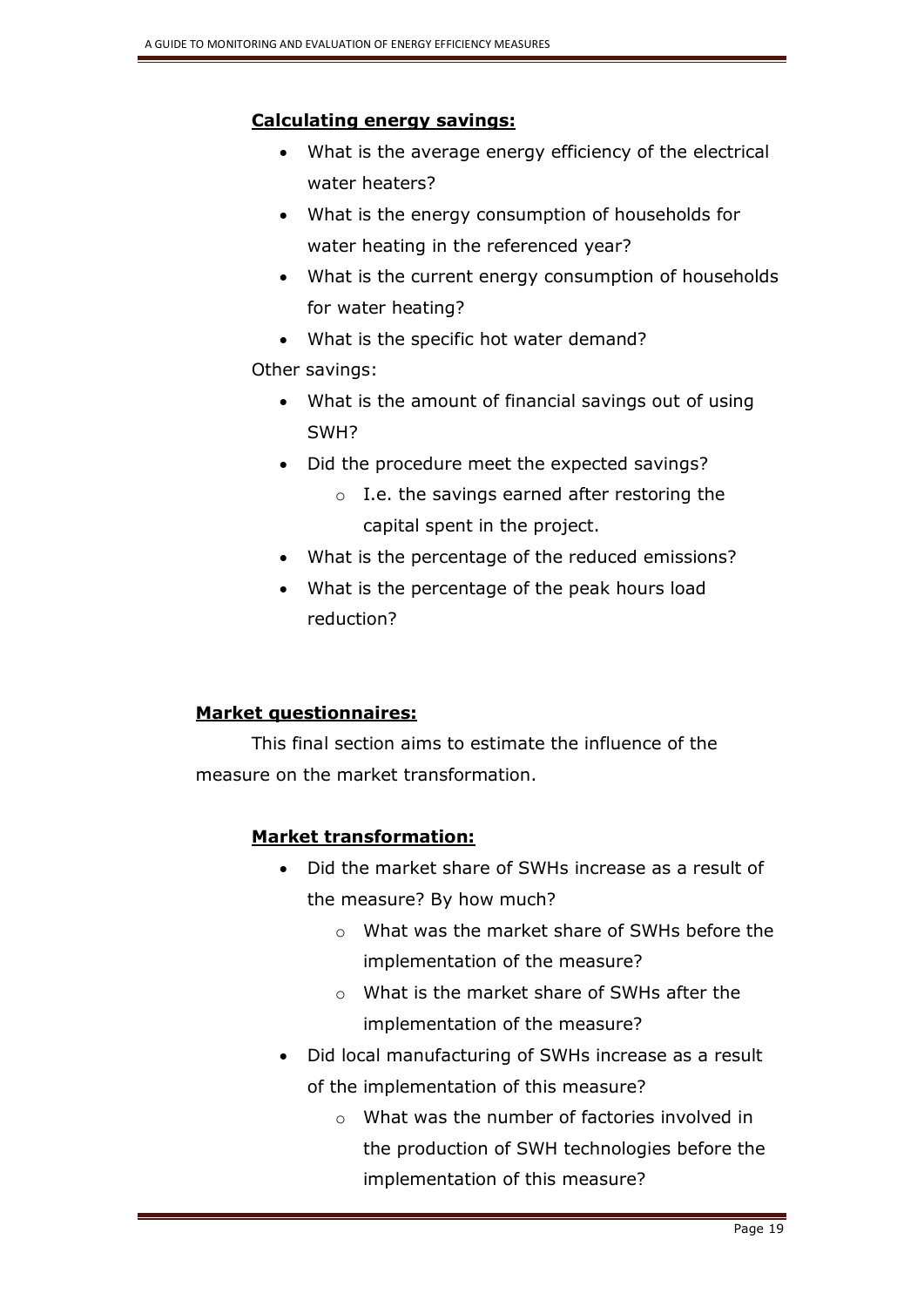## **Calculating energy savings:**

- What is the average energy efficiency of the electrical water heaters?
- What is the energy consumption of households for water heating in the referenced year?
- What is the current energy consumption of households for water heating?
- What is the specific hot water demand?

## Other savings:

- What is the amount of financial savings out of using SWH?
- Did the procedure meet the expected savings?
	- o I.e. the savings earned after restoring the capital spent in the project.
- What is the percentage of the reduced emissions?
- What is the percentage of the peak hours load reduction?

## **Market questionnaires:**

This final section aims to estimate the influence of the measure on the market transformation.

## **Market transformation:**

- Did the market share of SWHs increase as a result of the measure? By how much?
	- o What was the market share of SWHs before the implementation of the measure?
	- o What is the market share of SWHs after the implementation of the measure?
- Did local manufacturing of SWHs increase as a result of the implementation of this measure?
	- $\circ$  What was the number of factories involved in the production of SWH technologies before the implementation of this measure?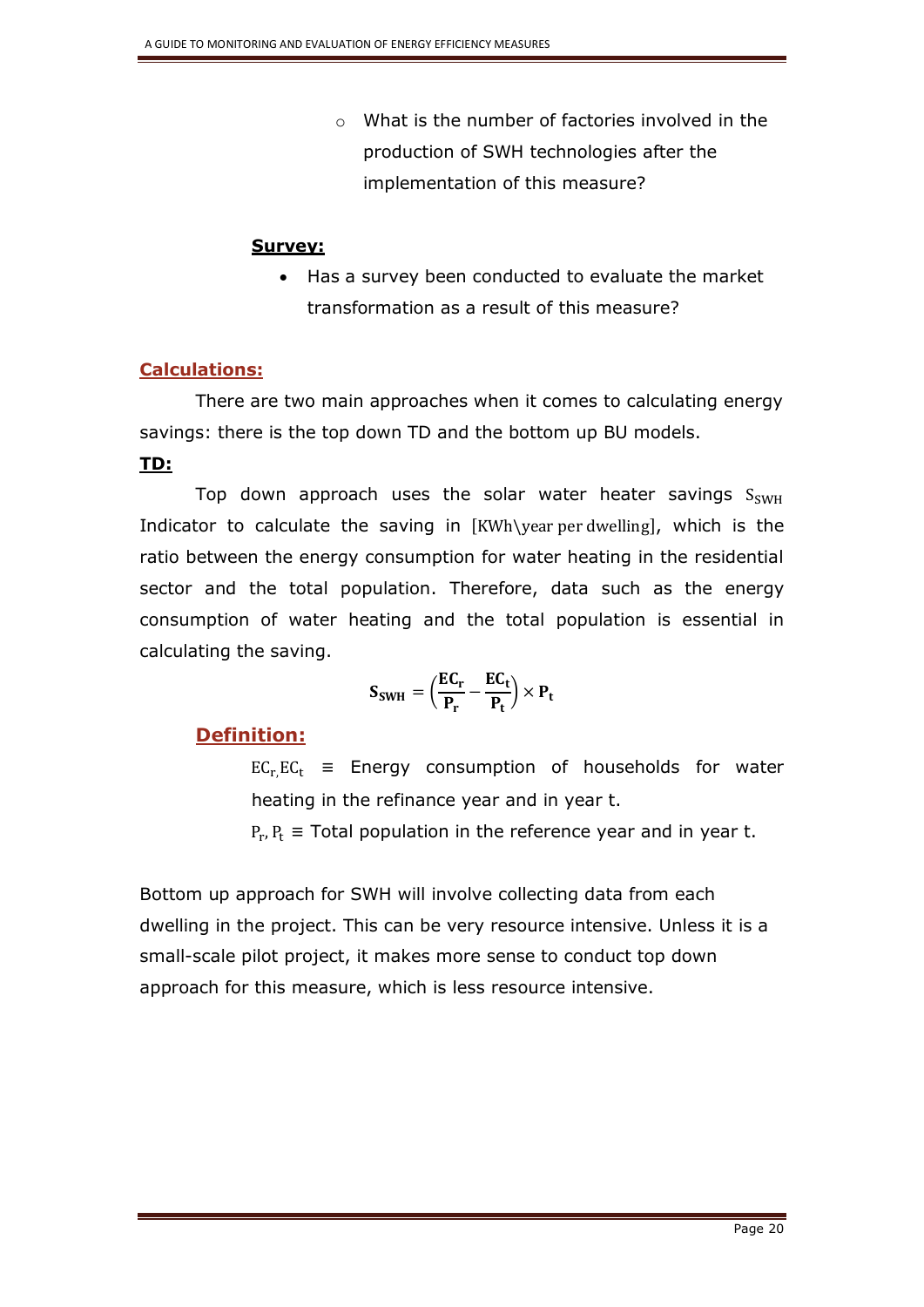o What is the number of factories involved in the production of SWH technologies after the implementation of this measure?

#### **Survey:**

 Has a survey been conducted to evaluate the market transformation as a result of this measure?

## **Calculations:**

There are two main approaches when it comes to calculating energy savings: there is the top down TD and the bottom up BU models.

## **TD:**

Top down approach uses the solar water heater savings  $S_{SWH}$ Indicator to calculate the saving in [KWh\year per dwelling], which is the ratio between the energy consumption for water heating in the residential sector and the total population. Therefore, data such as the energy consumption of water heating and the total population is essential in calculating the saving.

$$
S_{SWH} = \left(\frac{EC_r}{P_r} - \frac{EC_t}{P_t}\right) \times P_t
$$

## **Definition:**

 $EC_r,EC_t \equiv$  Energy consumption of households for water heating in the refinance year and in year t.

 $P_r, P_t \equiv$  Total population in the reference year and in year t.

Bottom up approach for SWH will involve collecting data from each dwelling in the project. This can be very resource intensive. Unless it is a small-scale pilot project, it makes more sense to conduct top down approach for this measure, which is less resource intensive.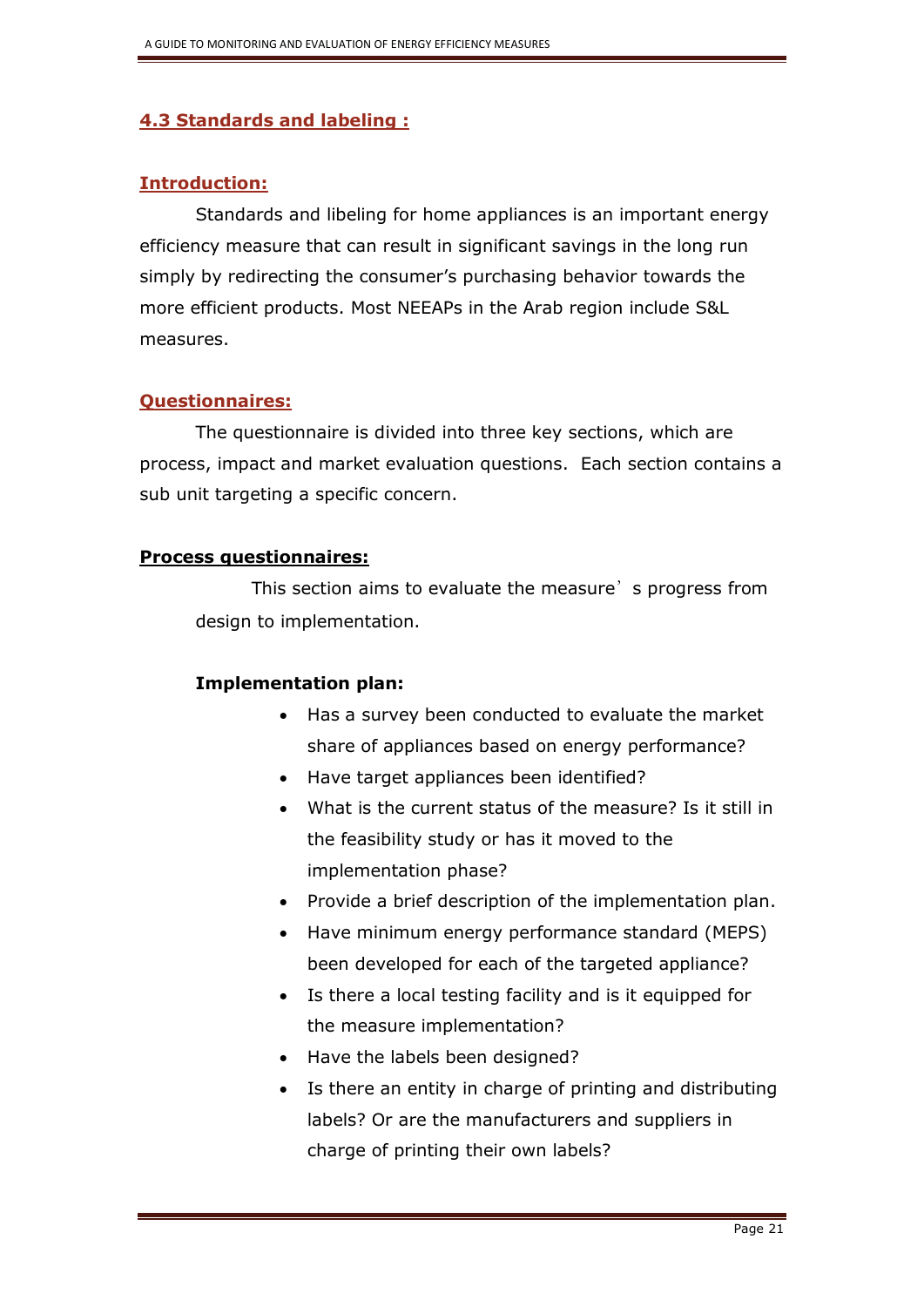## **4.3 Standards and labeling :**

## **Introduction:**

Standards and libeling for home appliances is an important energy efficiency measure that can result in significant savings in the long run simply by redirecting the consumer's purchasing behavior towards the more efficient products. Most NEEAPs in the Arab region include S&L measures.

## **Questionnaires:**

The questionnaire is divided into three key sections, which are process, impact and market evaluation questions. Each section contains a sub unit targeting a specific concern.

## **Process questionnaires:**

This section aims to evaluate the measure's progress from design to implementation.

## **Implementation plan:**

- Has a survey been conducted to evaluate the market share of appliances based on energy performance?
- Have target appliances been identified?
- What is the current status of the measure? Is it still in the feasibility study or has it moved to the implementation phase?
- Provide a brief description of the implementation plan.
- Have minimum energy performance standard (MEPS) been developed for each of the targeted appliance?
- Is there a local testing facility and is it equipped for the measure implementation?
- Have the labels been designed?
- Is there an entity in charge of printing and distributing labels? Or are the manufacturers and suppliers in charge of printing their own labels?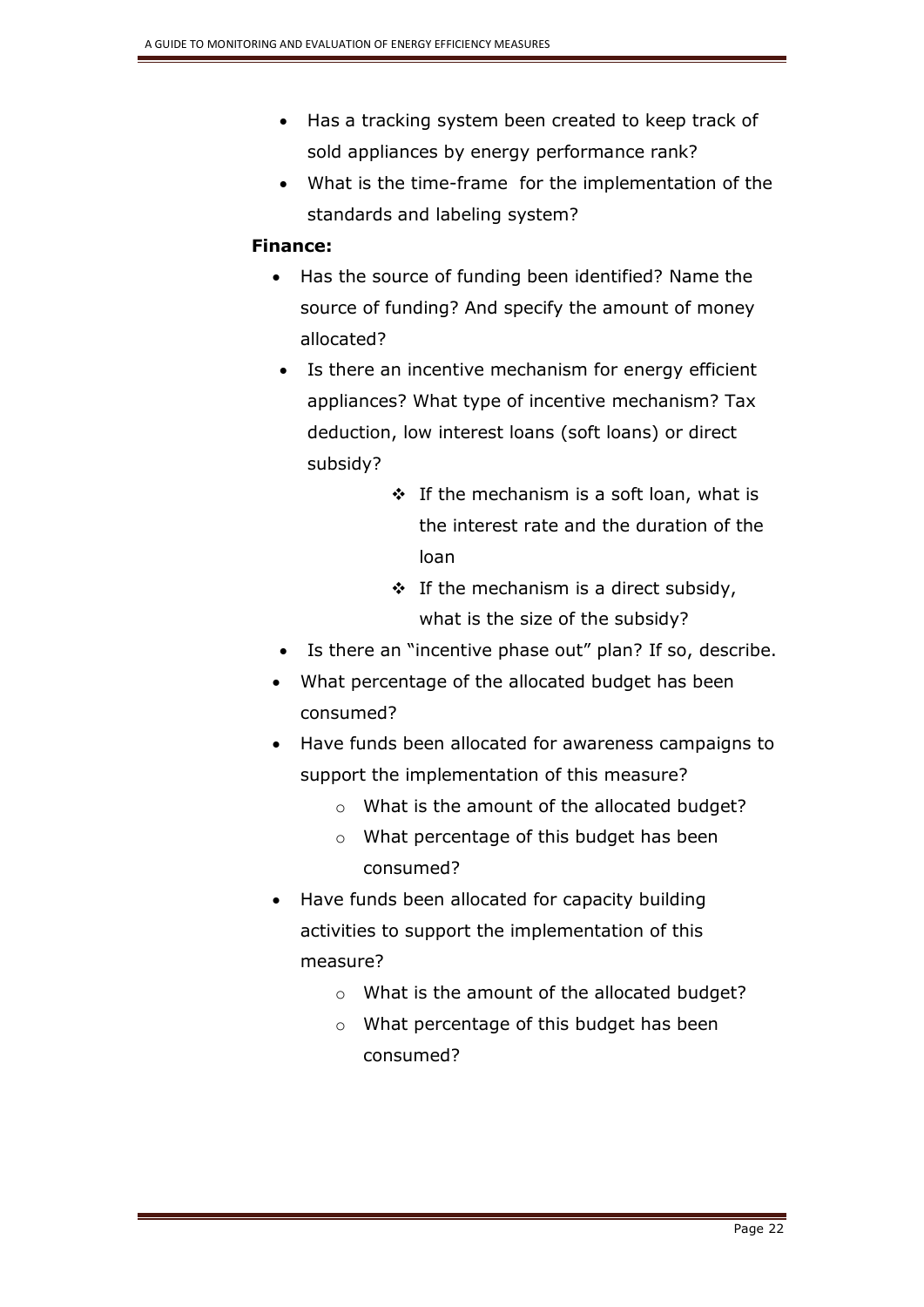- Has a tracking system been created to keep track of sold appliances by energy performance rank?
- What is the time-frame for the implementation of the standards and labeling system?

## **Finance:**

- Has the source of funding been identified? Name the source of funding? And specify the amount of money allocated?
	- Is there an incentive mechanism for energy efficient appliances? What type of incentive mechanism? Tax deduction, low interest loans (soft loans) or direct subsidy?
		- $\div$  If the mechanism is a soft loan, what is the interest rate and the duration of the loan
		- $\div$  If the mechanism is a direct subsidy, what is the size of the subsidy?
- Is there an "incentive phase out" plan? If so, describe.
- What percentage of the allocated budget has been consumed?
- Have funds been allocated for awareness campaigns to support the implementation of this measure?
	- o What is the amount of the allocated budget?
	- o What percentage of this budget has been consumed?
- Have funds been allocated for capacity building activities to support the implementation of this measure?
	- o What is the amount of the allocated budget?
	- o What percentage of this budget has been consumed?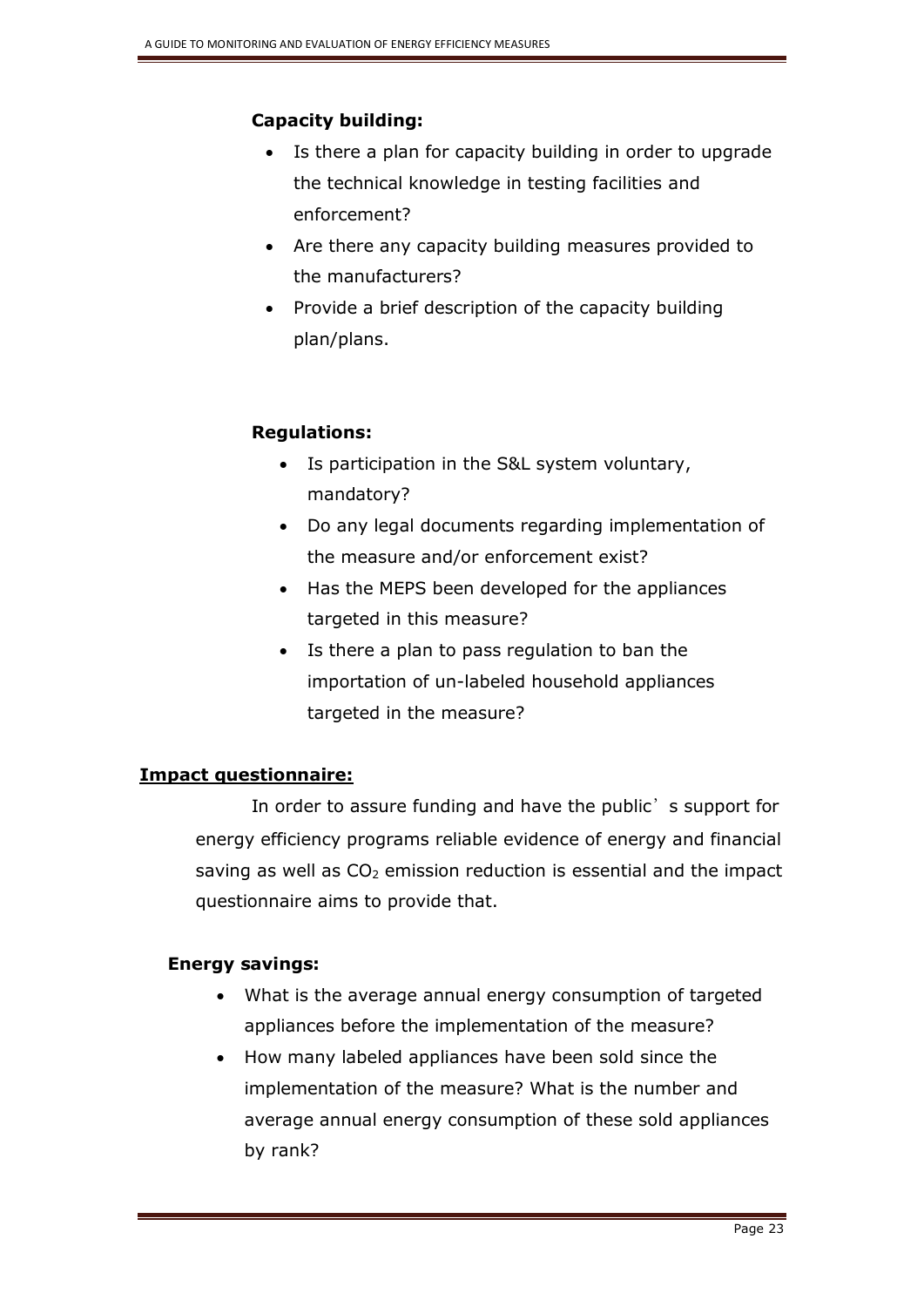## **Capacity building:**

- Is there a plan for capacity building in order to upgrade the technical knowledge in testing facilities and enforcement?
- Are there any capacity building measures provided to the manufacturers?
- Provide a brief description of the capacity building plan/plans.

## **Regulations:**

- Is participation in the S&L system voluntary, mandatory?
- Do any legal documents regarding implementation of the measure and/or enforcement exist?
- Has the MEPS been developed for the appliances targeted in this measure?
- Is there a plan to pass regulation to ban the importation of un-labeled household appliances targeted in the measure?

# **Impact questionnaire:**

In order to assure funding and have the public's support for energy efficiency programs reliable evidence of energy and financial saving as well as  $CO<sub>2</sub>$  emission reduction is essential and the impact questionnaire aims to provide that.

## **Energy savings:**

- What is the average annual energy consumption of targeted appliances before the implementation of the measure?
- How many labeled appliances have been sold since the implementation of the measure? What is the number and average annual energy consumption of these sold appliances by rank?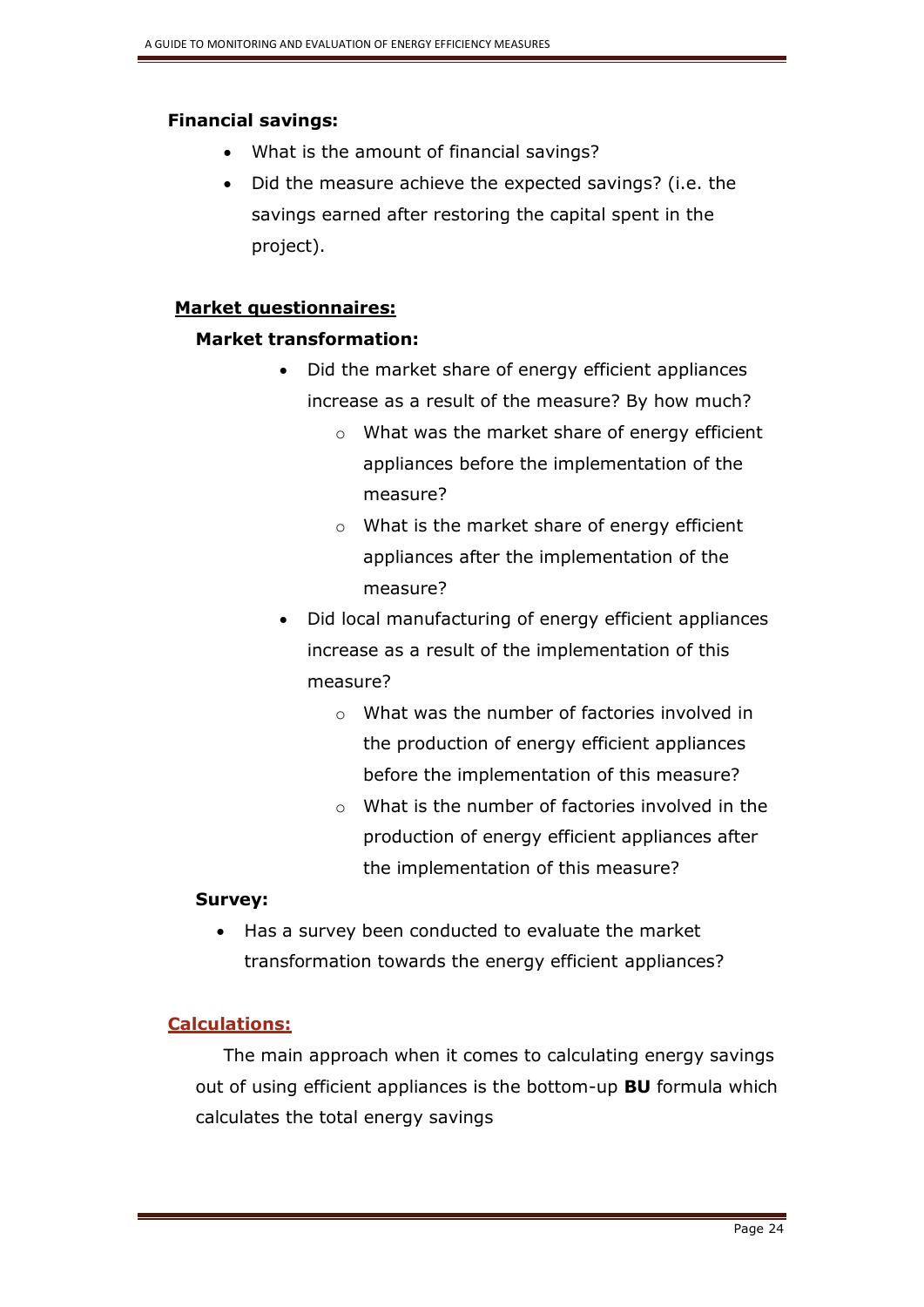## **Financial savings:**

- What is the amount of financial savings?
- Did the measure achieve the expected savings? (i.e. the savings earned after restoring the capital spent in the project).

## **Market questionnaires:**

## **Market transformation:**

- Did the market share of energy efficient appliances increase as a result of the measure? By how much?
	- o What was the market share of energy efficient appliances before the implementation of the measure?
	- o What is the market share of energy efficient appliances after the implementation of the measure?
- Did local manufacturing of energy efficient appliances increase as a result of the implementation of this measure?
	- o What was the number of factories involved in the production of energy efficient appliances before the implementation of this measure?
	- o What is the number of factories involved in the production of energy efficient appliances after the implementation of this measure?

## **Survey:**

 Has a survey been conducted to evaluate the market transformation towards the energy efficient appliances?

## **Calculations:**

The main approach when it comes to calculating energy savings out of using efficient appliances is the bottom-up **BU** formula which calculates the total energy savings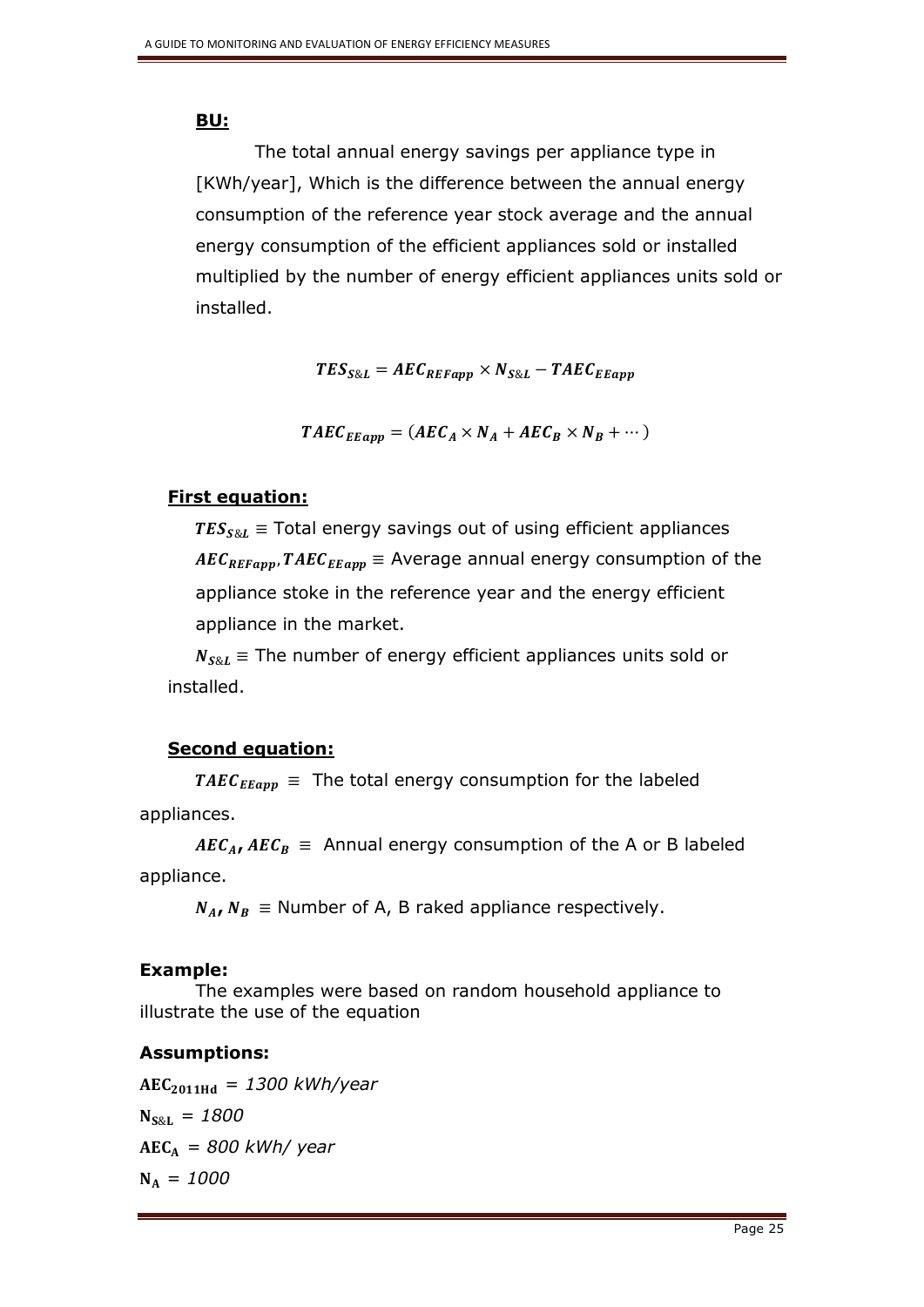## **BU:**

The total annual energy savings per appliance type in [KWh/year], Which is the difference between the annual energy consumption of the reference year stock average and the annual energy consumption of the efficient appliances sold or installed multiplied by the number of energy efficient appliances units sold or installed.

 $TES_{S\&L} = AEC_{REFann} \times N_{S\&L} - TAEC_{EFann}$ 

 $TAEC_{E\text{Eapp}} = (AEC_A \times N_A + AEC_B \times N_B + \cdots)$ 

## **First equation:**

 $TES_{S\&L}$  = Total energy savings out of using efficient appliances  $AEC_{REFapp}$ ,  $TAEC_{EEapp}$  = Average annual energy consumption of the appliance stoke in the reference year and the energy efficient appliance in the market.

 $N_{S\&L}$  = The number of energy efficient appliances units sold or installed.

## **Second equation:**

 $TAEC_{E\text{E}amp} \equiv$  The total energy consumption for the labeled appliances.

 $AEC_{AI}$ ,  $AEC_B$  = Annual energy consumption of the A or B labeled appliance.

 $N_A$ ,  $N_B \equiv$  Number of A, B raked appliance respectively.

## **Example:**

The examples were based on random household appliance to illustrate the use of the equation

## **Assumptions:**

 $AEC_{2011Hd} = 1300$  kWh/year  $N_{S.81} = 1800$  *= 800 kWh/ year*  $N_A = 1000$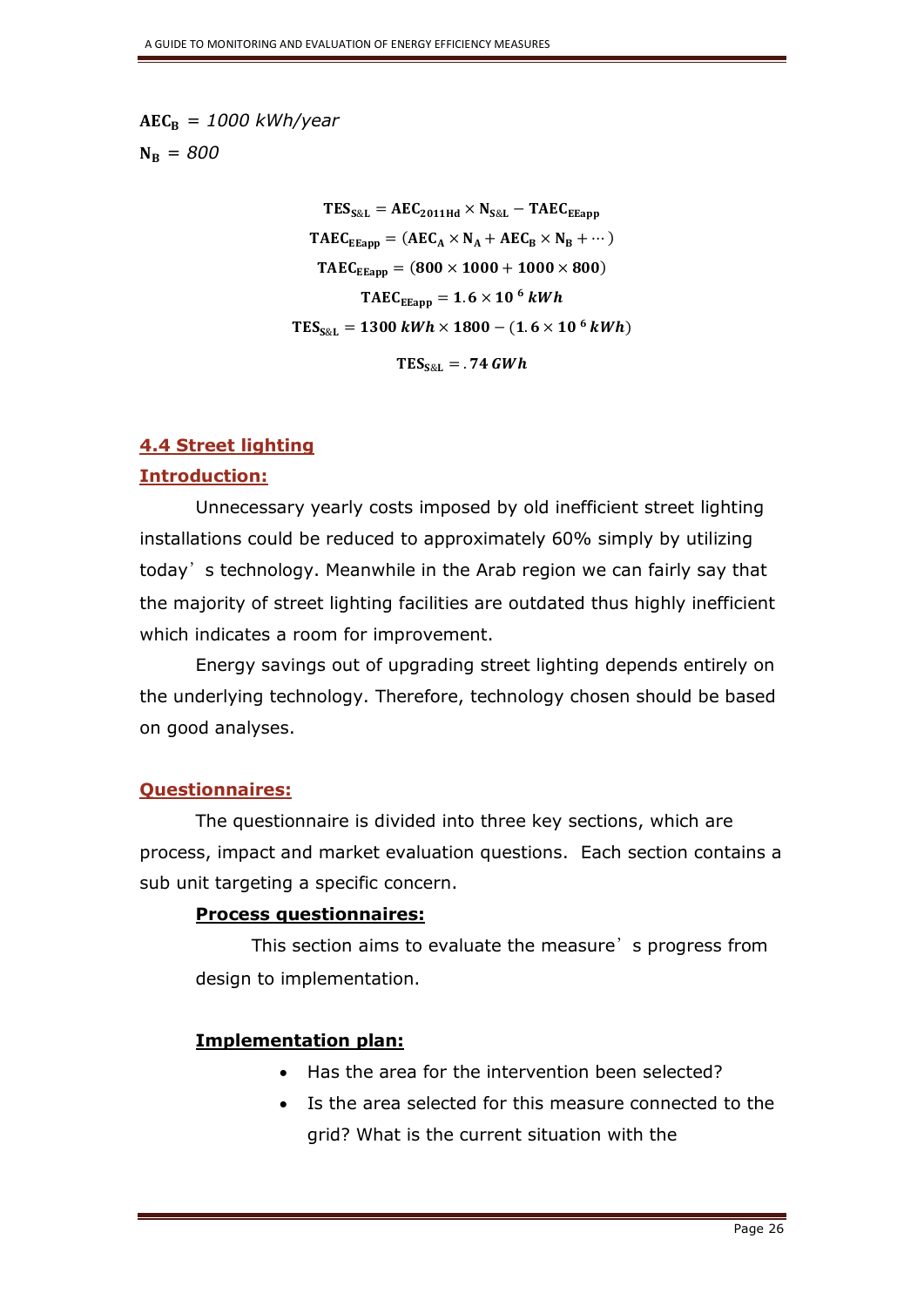$$
AEC_B = 1000 \, kWh/year
$$

$$
N_B = 800
$$

 $TES_{S\&L} = AEC_{2011Hd} \times N_{S\&L} - TAEC_{EEapp}$  $TAEC_{E\text{Eann}} = (AEC_A \times N_A + AEC_B \times N_B + \cdots)$  $TAEC_{EFann} = (800 \times 1000 + 1000 \times 800)$  $TAEC_{E\text{Eapp}} = 1.6 \times 10^6 \text{ kWh}$  $TES_{S\&L} = 1300 \, kWh \times 1800 - (1.6 \times 10^{6} \, kWh)$  $TES_{S&L} = .74 GWh$ 

## **4.4 Street lighting**

#### **Introduction:**

Unnecessary yearly costs imposed by old inefficient street lighting installations could be reduced to approximately 60% simply by utilizing today's technology. Meanwhile in the Arab region we can fairly say that the majority of street lighting facilities are outdated thus highly inefficient which indicates a room for improvement.

Energy savings out of upgrading street lighting depends entirely on the underlying technology. Therefore, technology chosen should be based on good analyses.

## **Questionnaires:**

The questionnaire is divided into three key sections, which are process, impact and market evaluation questions. Each section contains a sub unit targeting a specific concern.

#### **Process questionnaires:**

This section aims to evaluate the measure's progress from design to implementation.

## **Implementation plan:**

- Has the area for the intervention been selected?
- Is the area selected for this measure connected to the grid? What is the current situation with the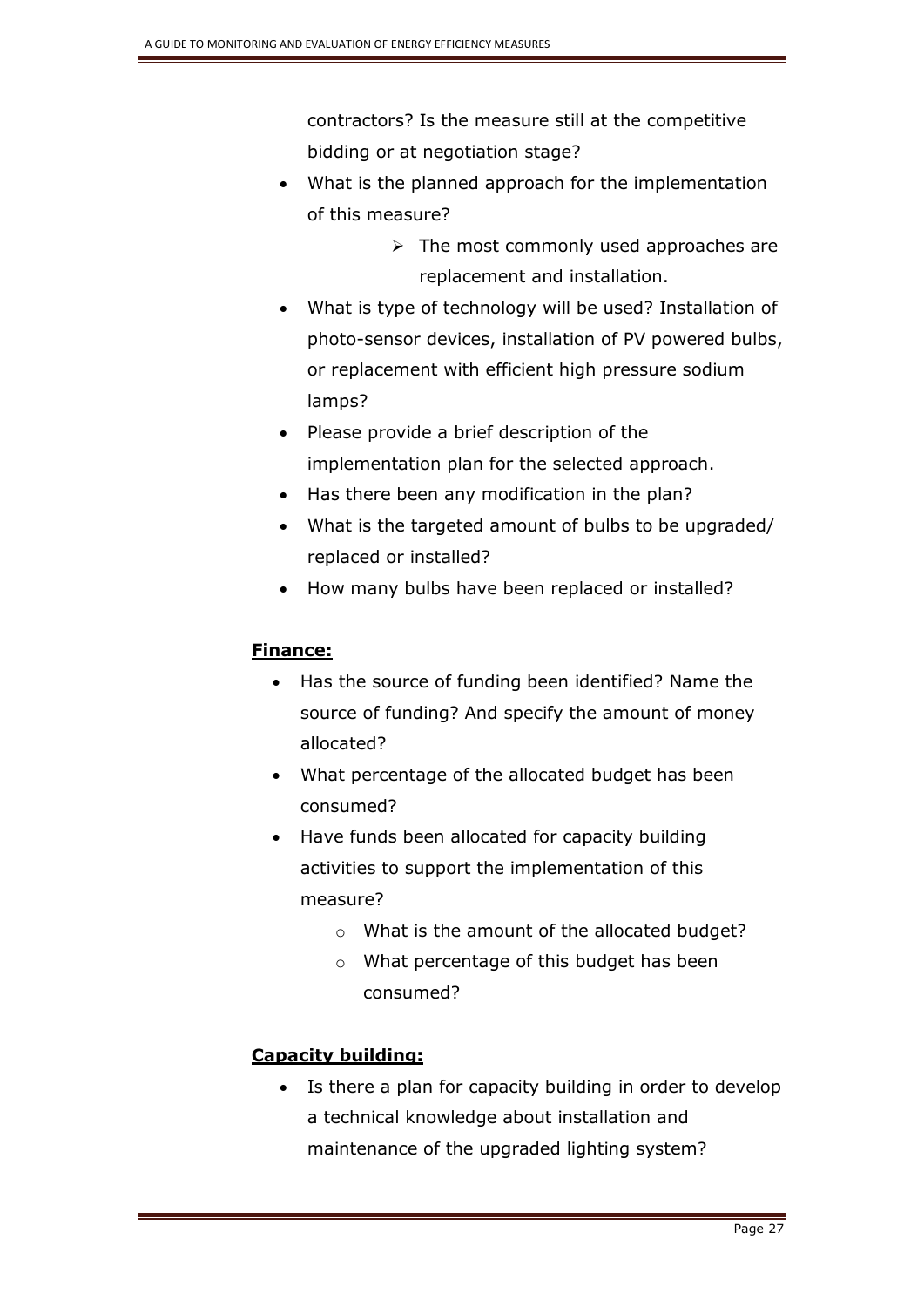contractors? Is the measure still at the competitive bidding or at negotiation stage?

- What is the planned approach for the implementation of this measure?
	- $\triangleright$  The most commonly used approaches are replacement and installation.
- What is type of technology will be used? Installation of photo-sensor devices, installation of PV powered bulbs, or replacement with efficient high pressure sodium lamps?
- Please provide a brief description of the implementation plan for the selected approach.
- Has there been any modification in the plan?
- What is the targeted amount of bulbs to be upgraded/ replaced or installed?
- How many bulbs have been replaced or installed?

## **Finance:**

- Has the source of funding been identified? Name the source of funding? And specify the amount of money allocated?
- What percentage of the allocated budget has been consumed?
- Have funds been allocated for capacity building activities to support the implementation of this measure?
	- o What is the amount of the allocated budget?
	- o What percentage of this budget has been consumed?

## **Capacity building:**

• Is there a plan for capacity building in order to develop a technical knowledge about installation and maintenance of the upgraded lighting system?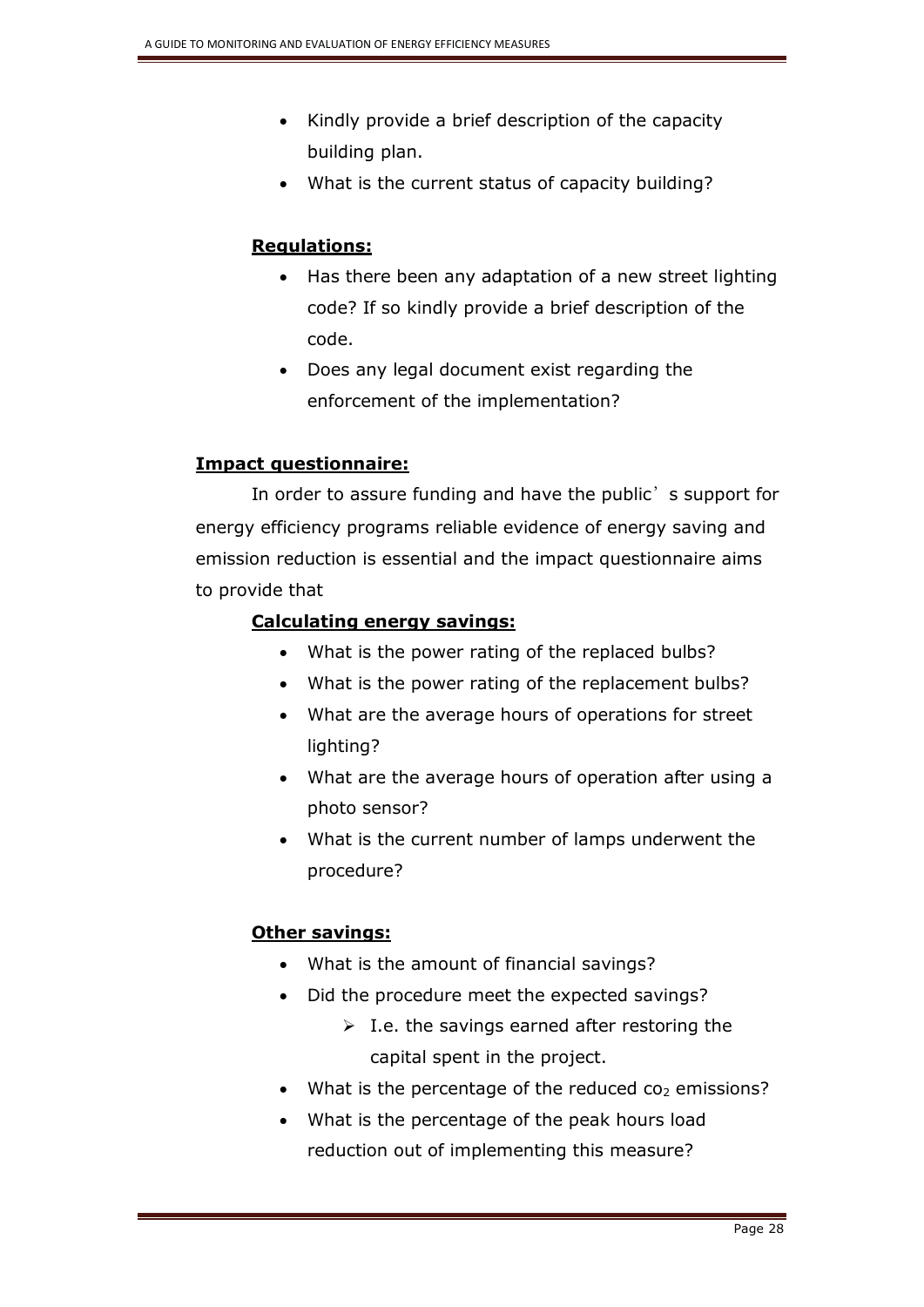- Kindly provide a brief description of the capacity building plan.
- What is the current status of capacity building?

## **Regulations:**

- Has there been any adaptation of a new street lighting code? If so kindly provide a brief description of the code.
- Does any legal document exist regarding the enforcement of the implementation?

## **Impact questionnaire:**

In order to assure funding and have the public's support for energy efficiency programs reliable evidence of energy saving and emission reduction is essential and the impact questionnaire aims to provide that

## **Calculating energy savings:**

- What is the power rating of the replaced bulbs?
- What is the power rating of the replacement bulbs?
- What are the average hours of operations for street lighting?
- What are the average hours of operation after using a photo sensor?
- What is the current number of lamps underwent the procedure?

## **Other savings:**

- What is the amount of financial savings?
- Did the procedure meet the expected savings?
	- $\triangleright$  I.e. the savings earned after restoring the capital spent in the project.
- What is the percentage of the reduced  $\cos$  emissions?
- What is the percentage of the peak hours load reduction out of implementing this measure?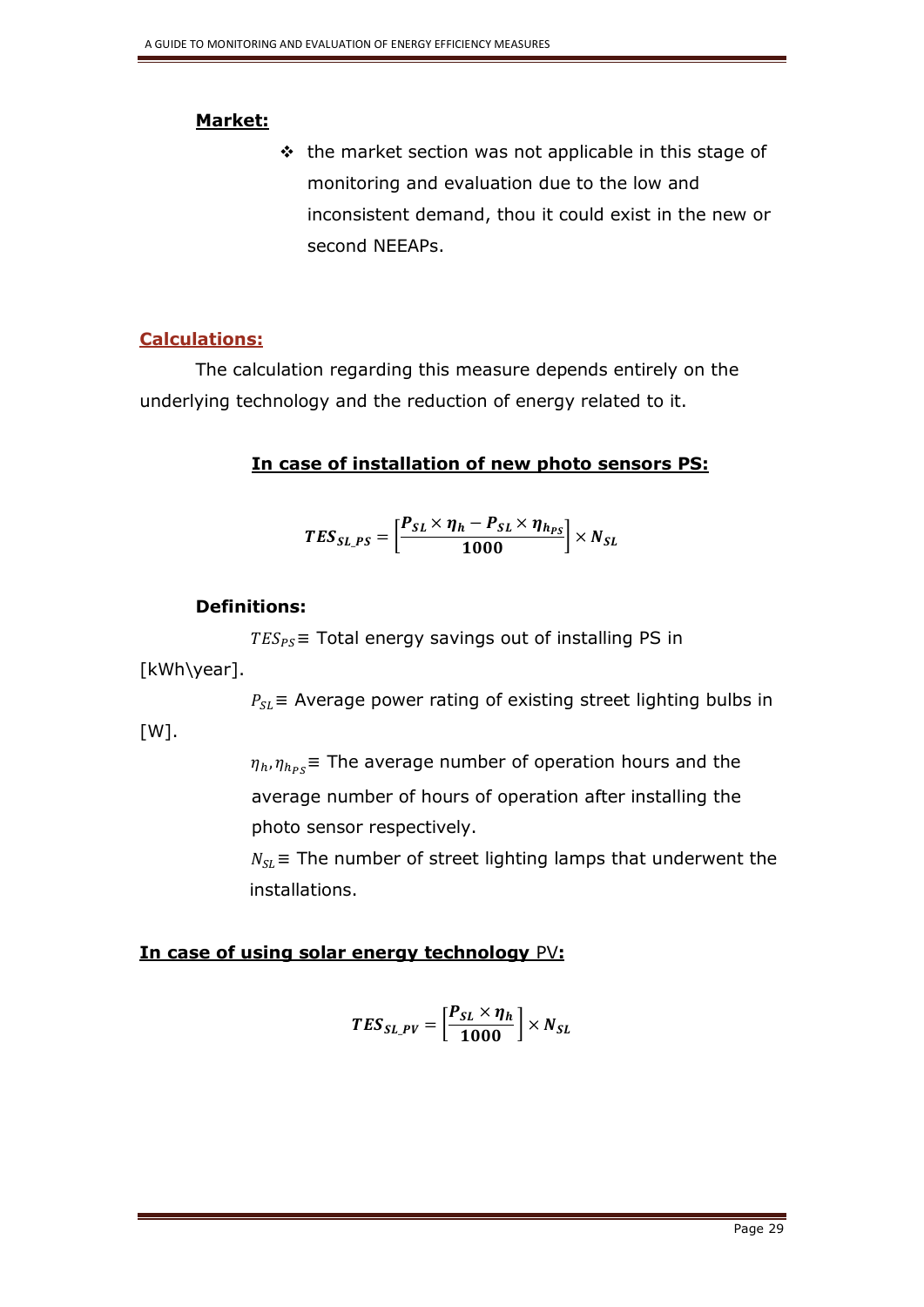#### **Market:**

 $\cdot$  the market section was not applicable in this stage of monitoring and evaluation due to the low and inconsistent demand, thou it could exist in the new or second NEEAPs.

## **Calculations:**

The calculation regarding this measure depends entirely on the underlying technology and the reduction of energy related to it.

## **In case of installation of new photo sensors PS:**

$$
TES_{SL_PS} = \left[\frac{P_{SL} \times \eta_h - P_{SL} \times \eta_{h_{PS}}}{1000}\right] \times N_{SL}
$$

## **Definitions:**

 $TES_{PS}$  = Total energy savings out of installing PS in

## [kWh\year].

 $[W]$ .

 $P_{SL}$  = Average power rating of existing street lighting bulbs in

 $\eta_h, \eta_{h_{PS}}$ = The average number of operation hours and the average number of hours of operation after installing the photo sensor respectively.

 $N_{SI}$  = The number of street lighting lamps that underwent the installations.

## **In case of using solar energy technology** PV**:**

$$
TES_{SL\_PV} = \left[\frac{P_{SL} \times \eta_h}{1000}\right] \times N_{SL}
$$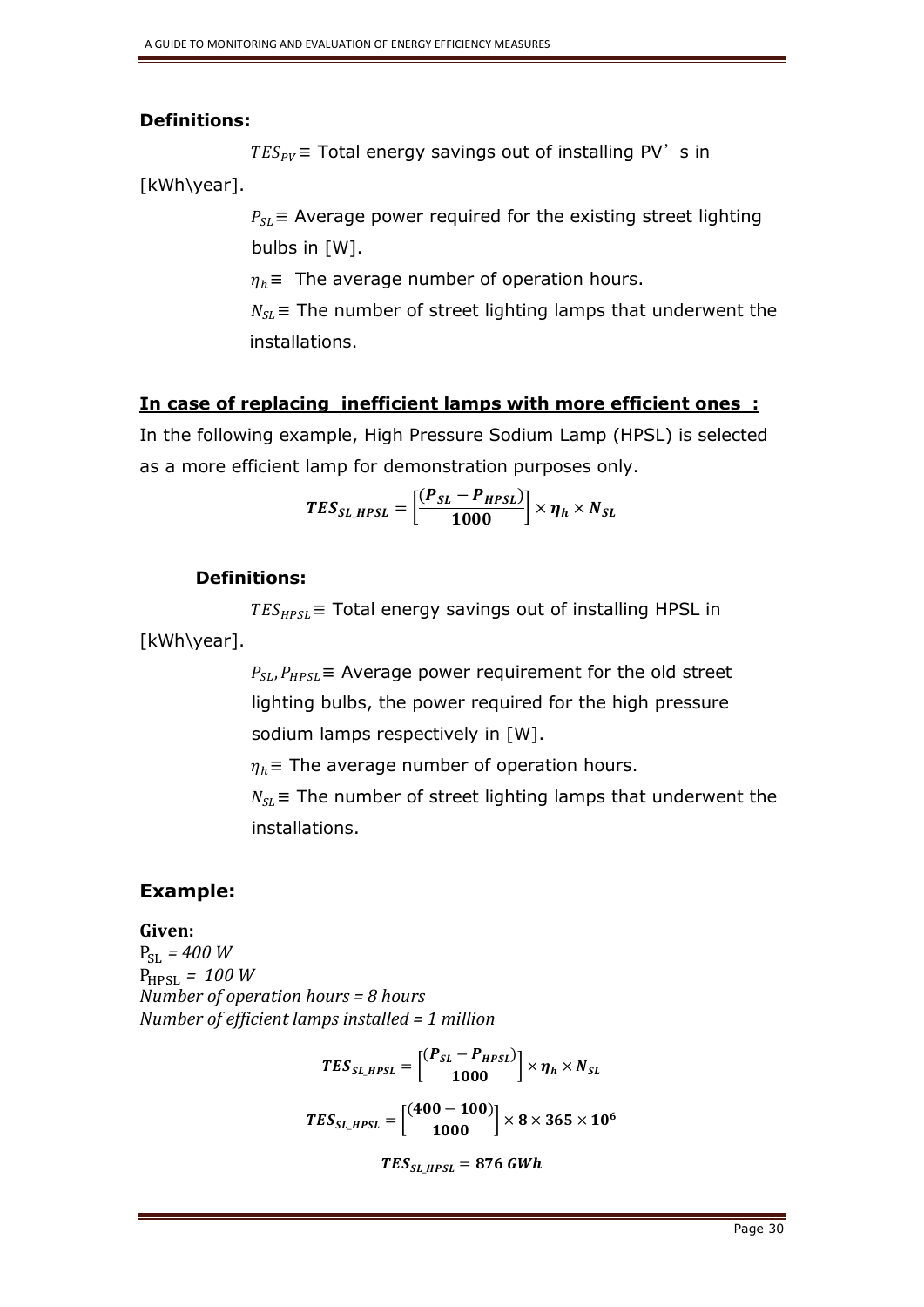## **Definitions:**

 $TES_{PV}$  = Total energy savings out of installing PV's in

[kWh\year].

 $P_{SL}$  = Average power required for the existing street lighting bulbs in [W].

 $\eta_h$  = The average number of operation hours.

 $N_{SL}$  = The number of street lighting lamps that underwent the installations.

## **In case of replacing inefficient lamps with more efficient ones :**

In the following example, High Pressure Sodium Lamp (HPSL) is selected as a more efficient lamp for demonstration purposes only.

$$
TES_{SL\_HPSL} = \left[\frac{(P_{SL} - P_{HPSL})}{1000}\right] \times \eta_h \times N_{SL}
$$

## **Definitions:**

 $TES_{HPSL}$  = Total energy savings out of installing HPSL in [kWh\year].

> $P_{SL}P_{HPSL}$  = Average power requirement for the old street lighting bulbs, the power required for the high pressure sodium lamps respectively in [W].

 $\eta_h$  = The average number of operation hours.

 $N_{SL}$  = The number of street lighting lamps that underwent the installations.

## **Example:**

**Given:**

 $P_{SI} = 400 W$  $P_{HPSL} = 100 W$ *Number of operation hours = 8 hours Number of efficient lamps installed = 1 million* 

$$
TES_{SL,HPSL} = \left[\frac{(P_{SL} - P_{HPSL})}{1000}\right] \times \eta_h \times N_{SL}
$$

$$
TES_{SL,HPSL} = \left[\frac{(400 - 100)}{1000}\right] \times 8 \times 365 \times 10^6
$$

$$
TES_{SL,HPSL} = 876 \text{ GWh}
$$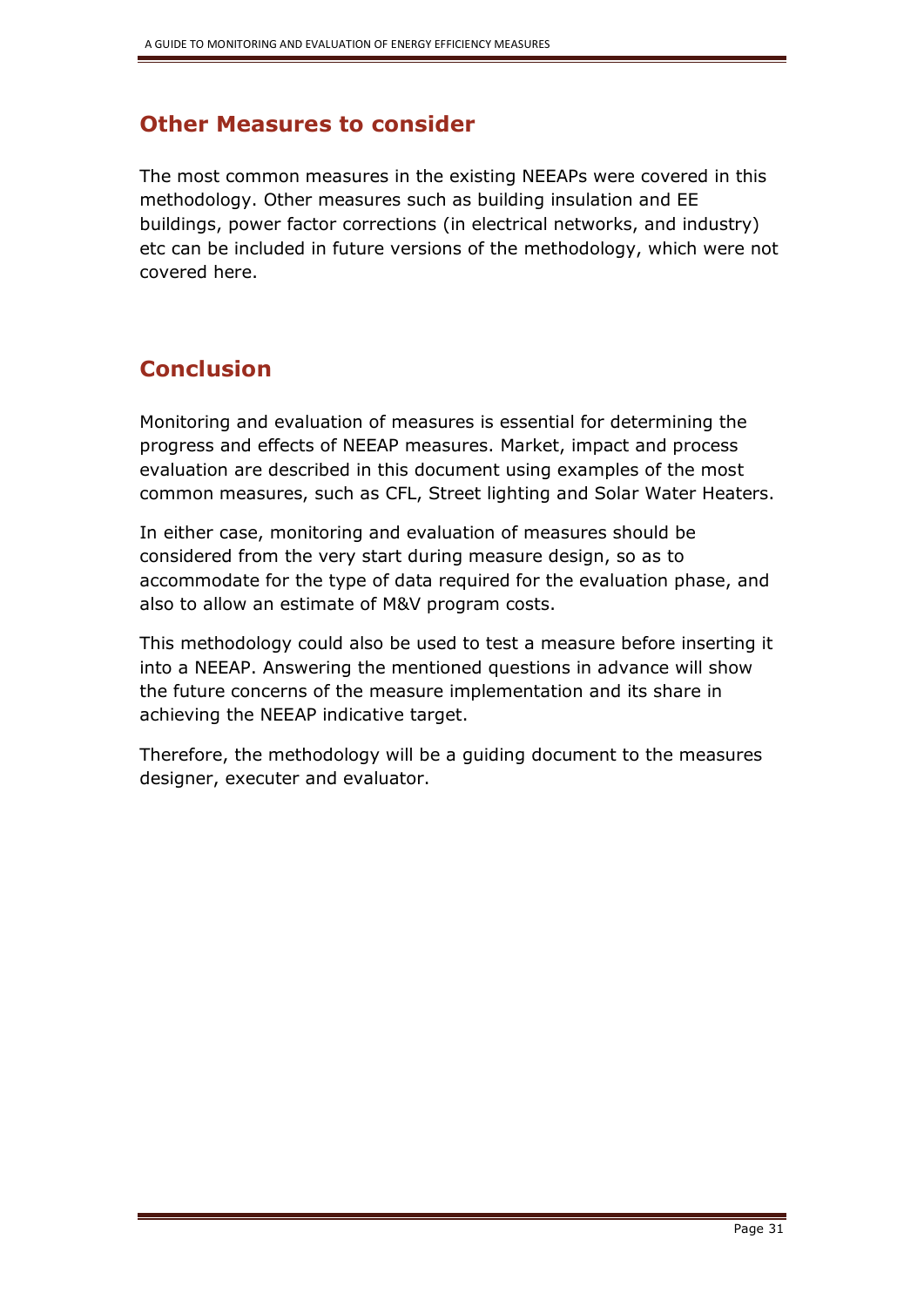# **Other Measures to consider**

The most common measures in the existing NEEAPs were covered in this methodology. Other measures such as building insulation and EE buildings, power factor corrections (in electrical networks, and industry) etc can be included in future versions of the methodology, which were not covered here.

# **Conclusion**

Monitoring and evaluation of measures is essential for determining the progress and effects of NEEAP measures. Market, impact and process evaluation are described in this document using examples of the most common measures, such as CFL, Street lighting and Solar Water Heaters.

In either case, monitoring and evaluation of measures should be considered from the very start during measure design, so as to accommodate for the type of data required for the evaluation phase, and also to allow an estimate of M&V program costs.

This methodology could also be used to test a measure before inserting it into a NEEAP. Answering the mentioned questions in advance will show the future concerns of the measure implementation and its share in achieving the NEEAP indicative target.

Therefore, the methodology will be a guiding document to the measures designer, executer and evaluator.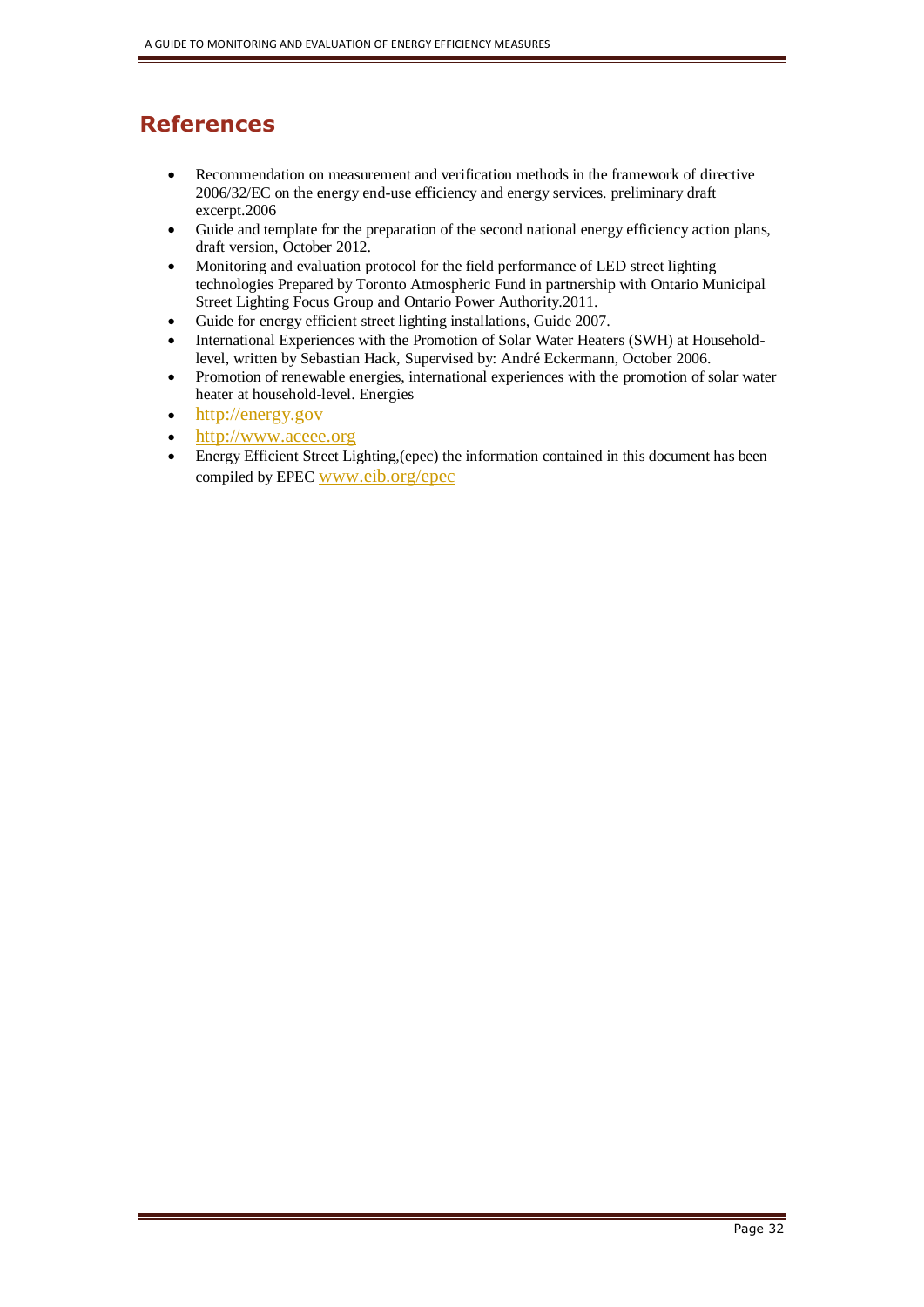# **References**

- Recommendation on measurement and verification methods in the framework of directive 2006/32/EC on the energy end-use efficiency and energy services. preliminary draft excerpt.2006
- Guide and template for the preparation of the second national energy efficiency action plans, draft version, October 2012.
- Monitoring and evaluation protocol for the field performance of LED street lighting technologies Prepared by Toronto Atmospheric Fund in partnership with Ontario Municipal Street Lighting Focus Group and Ontario Power Authority.2011.
- Guide for energy efficient street lighting installations, Guide 2007.
- International Experiences with the Promotion of Solar Water Heaters (SWH) at Householdlevel, written by Sebastian Hack, Supervised by: André Eckermann, October 2006.
- Promotion of renewable energies, international experiences with the promotion of solar water heater at household-level. Energies
- [http://energy.gov](http://energy.gov/)
- [http://www.aceee.org](http://www.aceee.org/)
- Energy Efficient Street Lighting,(epec) the information contained in this document has been compiled by EPEC [www.eib.org/epec](http://www.eib.org/epec)